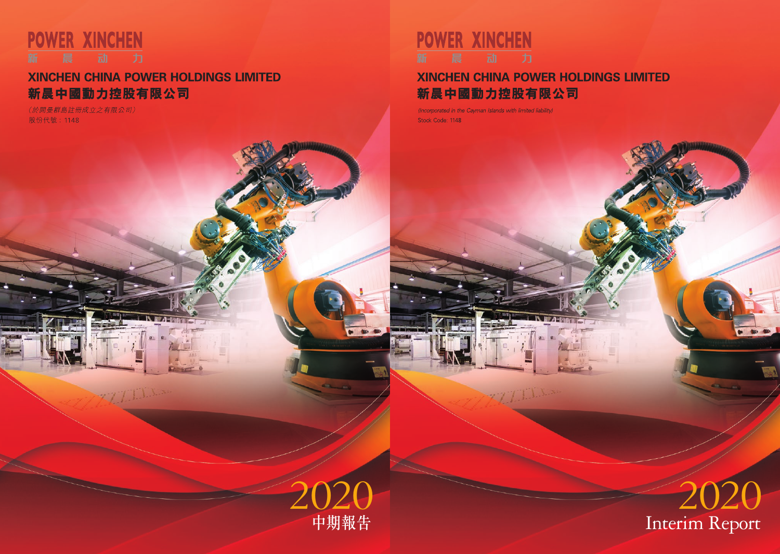

# **XINCHEN CHINA POWER HOLDINGS LIMITED** 新晨中國動力控股有限公司

(Incorporated in the Cayman Islands with limited liability) Stock Code: 1148

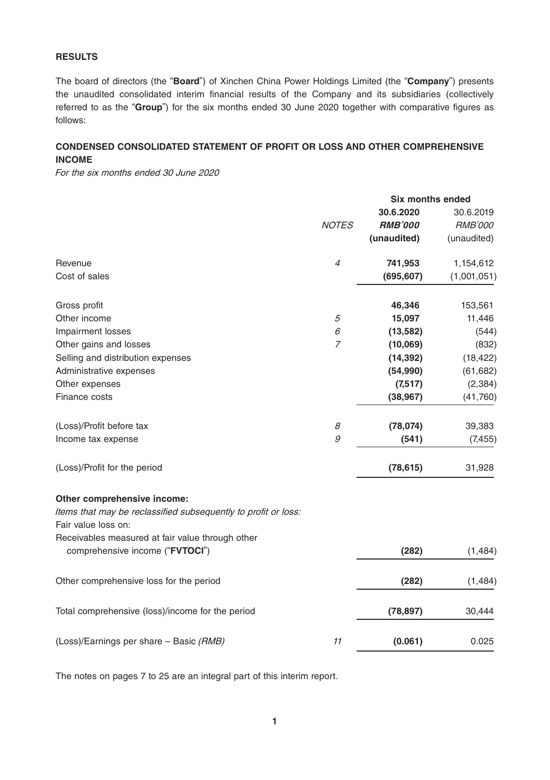## **RESULTS**

The board of directors (the "**Board**") of Xinchen China Power Holdings Limited (the "**Company**") presents the unaudited consolidated interim financial results of the Company and its subsidiaries (collectively referred to as the "**Group**") for the six months ended 30 June 2020 together with comparative figures as follows:

## **CONDENSED CONSOLIDATED STATEMENT OF PROFIT OR LOSS AND OTHER COMPREHENSIVE INCOME**

For the six months ended 30 June 2020

|                                                                                               |                | <b>Six months ended</b> |                |
|-----------------------------------------------------------------------------------------------|----------------|-------------------------|----------------|
|                                                                                               |                | 30.6.2020               | 30.6.2019      |
|                                                                                               | <b>NOTES</b>   | <b>RMB'000</b>          | <b>RMB'000</b> |
|                                                                                               |                | (unaudited)             | (unaudited)    |
| Revenue                                                                                       | $\overline{4}$ | 741,953                 | 1,154,612      |
| Cost of sales                                                                                 |                | (695, 607)              | (1,001,051)    |
| Gross profit                                                                                  |                | 46,346                  | 153,561        |
| Other income                                                                                  | 5              | 15,097                  | 11,446         |
| Impairment losses                                                                             | 6              | (13, 582)               | (544)          |
| Other gains and losses                                                                        | $\overline{7}$ | (10,069)                | (832)          |
| Selling and distribution expenses                                                             |                | (14, 392)               | (18, 422)      |
| Administrative expenses                                                                       |                | (54,990)                | (61, 682)      |
| Other expenses                                                                                |                | (7,517)                 | (2, 384)       |
| Finance costs                                                                                 |                | (38, 967)               | (41,760)       |
| (Loss)/Profit before tax                                                                      | 8              | (78, 074)               | 39,383         |
| Income tax expense                                                                            | 9              | (541)                   | (7, 455)       |
| (Loss)/Profit for the period                                                                  |                | (78, 615)               | 31,928         |
| Other comprehensive income:<br>Items that may be reclassified subsequently to profit or loss: |                |                         |                |
| Fair value loss on:                                                                           |                |                         |                |
| Receivables measured at fair value through other<br>comprehensive income ("FVTOCI")           |                | (282)                   | (1, 484)       |
| Other comprehensive loss for the period                                                       |                | (282)                   | (1, 484)       |
|                                                                                               |                |                         |                |
| Total comprehensive (loss)/income for the period                                              |                | (78, 897)               | 30,444         |
| (Loss)/Earnings per share - Basic (RMB)                                                       | 11             | (0.061)                 | 0.025          |
|                                                                                               |                |                         |                |

The notes on pages 7 to 25 are an integral part of this interim report.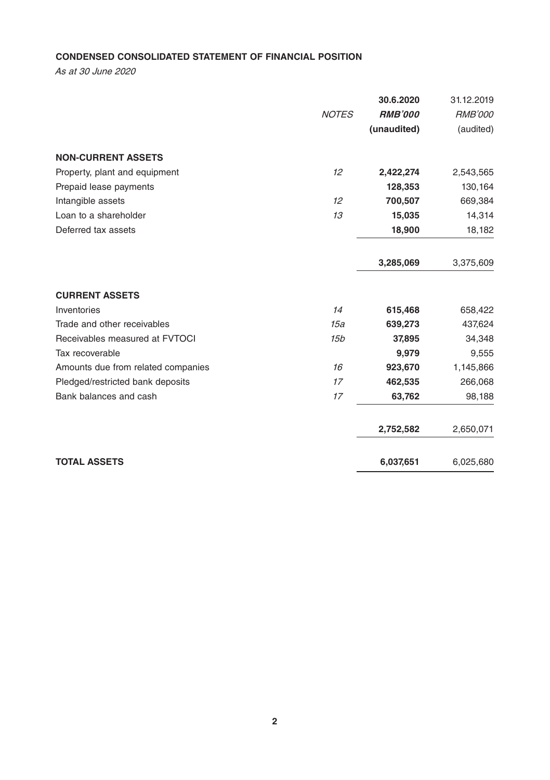## **CONDENSED CONSOLIDATED STATEMENT OF FINANCIAL POSITION**

As at 30 June 2020

|                                    |                 | 30.6.2020      | 31.12.2019     |
|------------------------------------|-----------------|----------------|----------------|
|                                    | <b>NOTES</b>    | <b>RMB'000</b> | <b>RMB'000</b> |
|                                    |                 | (unaudited)    | (audited)      |
| <b>NON-CURRENT ASSETS</b>          |                 |                |                |
| Property, plant and equipment      | 12              | 2,422,274      | 2,543,565      |
| Prepaid lease payments             |                 | 128,353        | 130,164        |
| Intangible assets                  | 12              | 700,507        | 669,384        |
| Loan to a shareholder              | 13              | 15,035         | 14,314         |
| Deferred tax assets                |                 | 18,900         | 18,182         |
|                                    |                 | 3,285,069      | 3,375,609      |
| <b>CURRENT ASSETS</b>              |                 |                |                |
| Inventories                        | 14              | 615,468        | 658,422        |
| Trade and other receivables        | 15a             | 639,273        | 437,624        |
| Receivables measured at FVTOCI     | 15 <sub>b</sub> | 37,895         | 34,348         |
| Tax recoverable                    |                 | 9,979          | 9,555          |
| Amounts due from related companies | 16              | 923,670        | 1,145,866      |
| Pledged/restricted bank deposits   | 17              | 462,535        | 266,068        |
| Bank balances and cash             | 17              | 63,762         | 98,188         |
|                                    |                 | 2,752,582      | 2,650,071      |
| <b>TOTAL ASSETS</b>                |                 | 6,037,651      | 6,025,680      |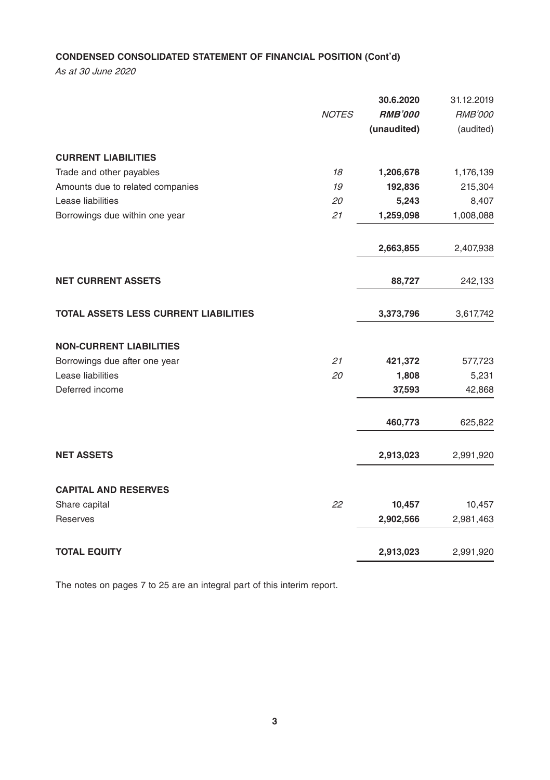## **CONDENSED CONSOLIDATED STATEMENT OF FINANCIAL POSITION (Cont'd)**

As at 30 June 2020

|                                       | <b>NOTES</b> | 30.6.2020<br><b>RMB'000</b><br>(unaudited) | 31.12.2019<br><b>RMB'000</b><br>(audited) |
|---------------------------------------|--------------|--------------------------------------------|-------------------------------------------|
| <b>CURRENT LIABILITIES</b>            |              |                                            |                                           |
| Trade and other payables              | 18           | 1,206,678                                  | 1,176,139                                 |
| Amounts due to related companies      | 19           | 192,836                                    | 215,304                                   |
| Lease liabilities                     | 20           | 5,243                                      | 8,407                                     |
| Borrowings due within one year        | 21           | 1,259,098                                  | 1,008,088                                 |
|                                       |              | 2,663,855                                  | 2,407,938                                 |
| <b>NET CURRENT ASSETS</b>             |              | 88,727                                     | 242,133                                   |
| TOTAL ASSETS LESS CURRENT LIABILITIES |              | 3,373,796                                  | 3,617,742                                 |
| <b>NON-CURRENT LIABILITIES</b>        |              |                                            |                                           |
| Borrowings due after one year         | 21           | 421,372                                    | 577,723                                   |
| Lease liabilities                     | 20           | 1,808                                      | 5,231                                     |
| Deferred income                       |              | 37,593                                     | 42,868                                    |
|                                       |              | 460,773                                    | 625,822                                   |
| <b>NET ASSETS</b>                     |              | 2,913,023                                  | 2,991,920                                 |
| <b>CAPITAL AND RESERVES</b>           |              |                                            |                                           |
| Share capital                         | 22           | 10,457                                     | 10,457                                    |
| Reserves                              |              | 2,902,566                                  | 2,981,463                                 |
| <b>TOTAL EQUITY</b>                   |              | 2,913,023                                  | 2,991,920                                 |

The notes on pages 7 to 25 are an integral part of this interim report.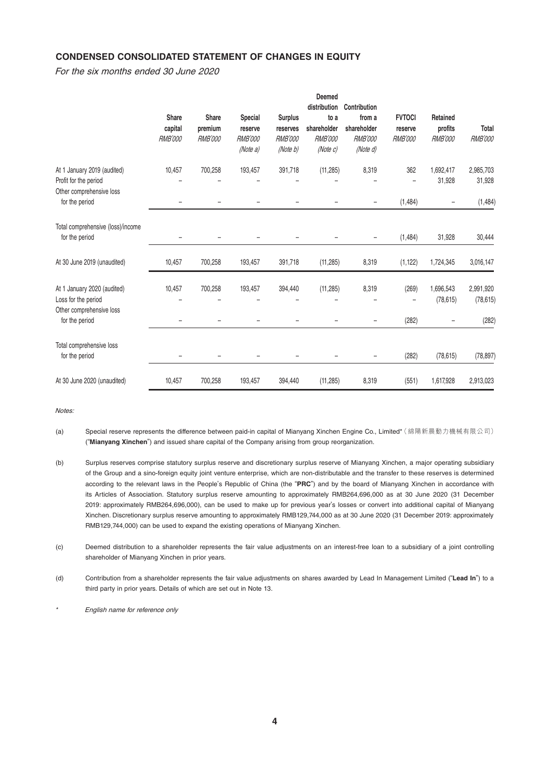## **CONDENSED CONSOLIDATED STATEMENT OF CHANGES IN EQUITY**

For the six months ended 30 June 2020

|                                                                                | Share<br>capital<br><b>RMB'000</b> | Share<br>premium<br><b>RMB'000</b> | Special<br>reserve<br><b>RMB'000</b><br>(Note a) | <b>Surplus</b><br>reserves<br><b>RMB'000</b><br>(Note b) | Deemed<br>distribution<br>to a<br>shareholder<br><b>RMB'000</b><br>(Note c) | Contribution<br>from a<br>shareholder<br><b>RMB'000</b><br>(Note d) | <b>FVTOCI</b><br>reserve<br><b>RMB'000</b> | Retained<br>profits<br><b>RMB'000</b> | Total<br><b>RMB'000</b> |
|--------------------------------------------------------------------------------|------------------------------------|------------------------------------|--------------------------------------------------|----------------------------------------------------------|-----------------------------------------------------------------------------|---------------------------------------------------------------------|--------------------------------------------|---------------------------------------|-------------------------|
| At 1 January 2019 (audited)                                                    | 10,457                             | 700,258                            | 193,457                                          | 391,718                                                  | (11, 285)                                                                   | 8,319                                                               | 362                                        | 1.692.417                             | 2,985,703               |
| Profit for the period<br>Other comprehensive loss                              |                                    |                                    |                                                  |                                                          |                                                                             |                                                                     |                                            | 31,928                                | 31,928                  |
| for the period                                                                 | $\qquad \qquad -$                  |                                    | $\overline{\phantom{0}}$                         |                                                          |                                                                             | $\qquad \qquad -$                                                   | (1,484)                                    | $\overline{\phantom{a}}$              | (1,484)                 |
| Total comprehensive (loss)/income<br>for the period                            |                                    |                                    |                                                  |                                                          |                                                                             | $\overline{\phantom{0}}$                                            | (1,484)                                    | 31,928                                | 30,444                  |
| At 30 June 2019 (unaudited)                                                    | 10.457                             | 700,258                            | 193,457                                          | 391,718                                                  | (11, 285)                                                                   | 8,319                                                               | (1, 122)                                   | 1,724,345                             | 3,016,147               |
| At 1 January 2020 (audited)<br>Loss for the period<br>Other comprehensive loss | 10.457                             | 700.258                            | 193,457                                          | 394,440                                                  | (11, 285)                                                                   | 8,319                                                               | (269)                                      | 1.696.543<br>(78, 615)                | 2,991,920<br>(78, 615)  |
| for the period                                                                 | $\qquad \qquad -$                  |                                    | $\overline{\phantom{0}}$                         |                                                          |                                                                             | -                                                                   | (282)                                      | -                                     | (282)                   |
| Total comprehensive loss<br>for the period                                     |                                    |                                    |                                                  |                                                          |                                                                             | $\qquad \qquad -$                                                   | (282)                                      | (78, 615)                             | (78, 897)               |
| At 30 June 2020 (unaudited)                                                    | 10.457                             | 700,258                            | 193.457                                          | 394.440                                                  | (11, 285)                                                                   | 8,319                                                               | (551)                                      | 1,617,928                             | 2,913,023               |

Notes:

(a) Special reserve represents the difference between paid-in capital of Mianyang Xinchen Engine Co., Limited\* (綿陽新晨動力機械有限公司) ("**Mianyang Xinchen**") and issued share capital of the Company arising from group reorganization.

- (b) Surplus reserves comprise statutory surplus reserve and discretionary surplus reserve of Mianyang Xinchen, a major operating subsidiary of the Group and a sino-foreign equity joint venture enterprise, which are non-distributable and the transfer to these reserves is determined according to the relevant laws in the People's Republic of China (the "**PRC**") and by the board of Mianyang Xinchen in accordance with its Articles of Association. Statutory surplus reserve amounting to approximately RMB264,696,000 as at 30 June 2020 (31 December 2019: approximately RMB264,696,000), can be used to make up for previous year's losses or convert into additional capital of Mianyang Xinchen. Discretionary surplus reserve amounting to approximately RMB129,744,000 as at 30 June 2020 (31 December 2019: approximately RMB129,744,000) can be used to expand the existing operations of Mianyang Xinchen.
- (c) Deemed distribution to a shareholder represents the fair value adjustments on an interest-free loan to a subsidiary of a joint controlling shareholder of Mianyang Xinchen in prior years.
- (d) Contribution from a shareholder represents the fair value adjustments on shares awarded by Lead In Management Limited ("**Lead In**") to a third party in prior years. Details of which are set out in Note 13.
- English name for reference only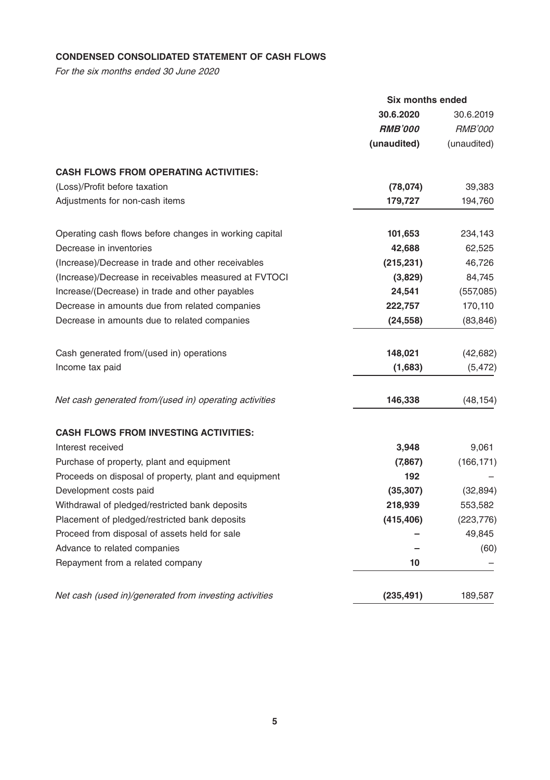## **CONDENSED CONSOLIDATED STATEMENT OF CASH FLOWS**

For the six months ended 30 June 2020

|                                                        | Six months ended      |                |
|--------------------------------------------------------|-----------------------|----------------|
|                                                        | 30.6.2020             | 30.6.2019      |
|                                                        | <i><b>RMB'000</b></i> | <i>RMB'000</i> |
|                                                        | (unaudited)           | (unaudited)    |
| <b>CASH FLOWS FROM OPERATING ACTIVITIES:</b>           |                       |                |
| (Loss)/Profit before taxation                          | (78, 074)             | 39,383         |
| Adjustments for non-cash items                         | 179,727               | 194,760        |
| Operating cash flows before changes in working capital | 101,653               | 234,143        |
| Decrease in inventories                                | 42,688                | 62,525         |
| (Increase)/Decrease in trade and other receivables     | (215, 231)            | 46,726         |
| (Increase)/Decrease in receivables measured at FVTOCI  | (3,829)               | 84,745         |
| Increase/(Decrease) in trade and other payables        | 24,541                | (557,085)      |
| Decrease in amounts due from related companies         | 222,757               | 170,110        |
| Decrease in amounts due to related companies           | (24, 558)             | (83, 846)      |
| Cash generated from/(used in) operations               | 148,021               | (42, 682)      |
| Income tax paid                                        | (1,683)               | (5, 472)       |
| Net cash generated from/(used in) operating activities | 146,338               | (48, 154)      |
| <b>CASH FLOWS FROM INVESTING ACTIVITIES:</b>           |                       |                |
| Interest received                                      | 3,948                 | 9,061          |
| Purchase of property, plant and equipment              | (7, 867)              | (166, 171)     |
| Proceeds on disposal of property, plant and equipment  | 192                   |                |
| Development costs paid                                 | (35, 307)             | (32, 894)      |
| Withdrawal of pledged/restricted bank deposits         | 218,939               | 553,582        |
| Placement of pledged/restricted bank deposits          | (415, 406)            | (223, 776)     |
| Proceed from disposal of assets held for sale          |                       | 49,845         |
| Advance to related companies                           |                       | (60)           |
| Repayment from a related company                       | 10                    |                |
| Net cash (used in)/generated from investing activities | (235, 491)            | 189,587        |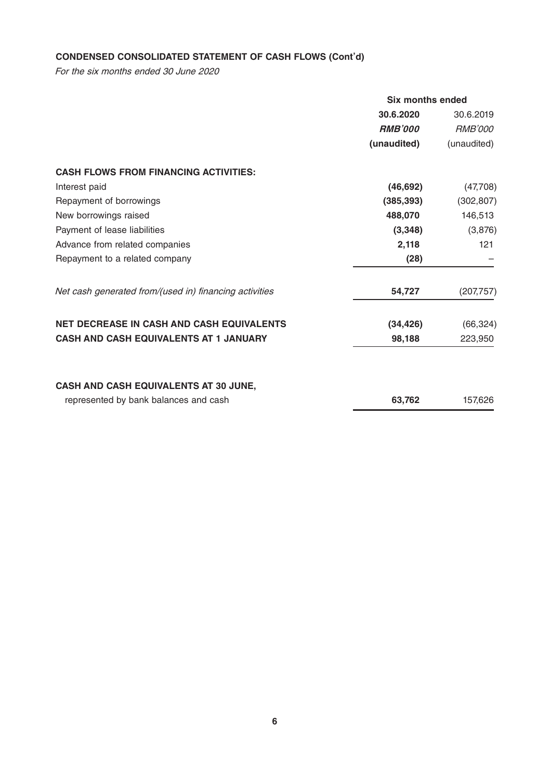## **CONDENSED CONSOLIDATED STATEMENT OF CASH FLOWS (Cont'd)**

For the six months ended 30 June 2020

|                                                        | Six months ended      |                |  |
|--------------------------------------------------------|-----------------------|----------------|--|
|                                                        | 30.6.2020             | 30.6.2019      |  |
|                                                        | <i><b>RMB'000</b></i> | <i>RMB'000</i> |  |
|                                                        | (unaudited)           | (unaudited)    |  |
| <b>CASH FLOWS FROM FINANCING ACTIVITIES:</b>           |                       |                |  |
| Interest paid                                          | (46, 692)             | (47,708)       |  |
| Repayment of borrowings                                | (385, 393)            | (302, 807)     |  |
| New borrowings raised                                  | 488,070               | 146,513        |  |
| Payment of lease liabilities                           | (3,348)               | (3,876)        |  |
| Advance from related companies                         | 2,118                 | 121            |  |
| Repayment to a related company                         | (28)                  |                |  |
| Net cash generated from/(used in) financing activities | 54,727                | (207, 757)     |  |
| <b>NET DECREASE IN CASH AND CASH EQUIVALENTS</b>       | (34, 426)             | (66, 324)      |  |
| <b>CASH AND CASH EQUIVALENTS AT 1 JANUARY</b>          | 98,188                | 223,950        |  |
| <b>CASH AND CASH EQUIVALENTS AT 30 JUNE,</b>           |                       |                |  |
| represented by bank balances and cash                  | 63.762                | 157,626        |  |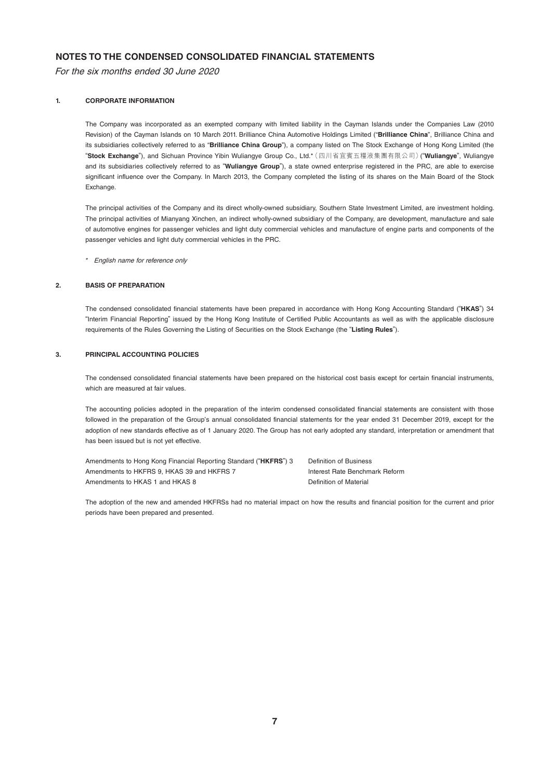## **NOTES TO THE CONDENSED CONSOLIDATED FINANCIAL STATEMENTS**

For the six months ended 30 June 2020

#### **1. CORPORATE INFORMATION**

The Company was incorporated as an exempted company with limited liability in the Cayman Islands under the Companies Law (2010 Revision) of the Cayman Islands on 10 March 2011. Brilliance China Automotive Holdings Limited ("**Brilliance China**", Brilliance China and its subsidiaries collectively referred to as "**Brilliance China Group**"), a company listed on The Stock Exchange of Hong Kong Limited (the "**Stock Exchange**"), and Sichuan Province Yibin Wuliangye Group Co., Ltd.\*(四川省宜賓五糧液集團有限公司)("**Wuliangye**", Wuliangye and its subsidiaries collectively referred to as "**Wuliangye Group**"), a state owned enterprise registered in the PRC, are able to exercise significant influence over the Company. In March 2013, the Company completed the listing of its shares on the Main Board of the Stock Exchange.

The principal activities of the Company and its direct wholly-owned subsidiary, Southern State Investment Limited, are investment holding. The principal activities of Mianyang Xinchen, an indirect wholly-owned subsidiary of the Company, are development, manufacture and sale of automotive engines for passenger vehicles and light duty commercial vehicles and manufacture of engine parts and components of the passenger vehicles and light duty commercial vehicles in the PRC.

\* English name for reference only

#### **2. BASIS OF PREPARATION**

The condensed consolidated financial statements have been prepared in accordance with Hong Kong Accounting Standard ("**HKAS**") 34 "Interim Financial Reporting" issued by the Hong Kong Institute of Certified Public Accountants as well as with the applicable disclosure requirements of the Rules Governing the Listing of Securities on the Stock Exchange (the "**Listing Rules**").

#### **3. PRINCIPAL ACCOUNTING POLICIES**

The condensed consolidated financial statements have been prepared on the historical cost basis except for certain financial instruments, which are measured at fair values.

The accounting policies adopted in the preparation of the interim condensed consolidated financial statements are consistent with those followed in the preparation of the Group's annual consolidated financial statements for the year ended 31 December 2019, except for the adoption of new standards effective as of 1 January 2020. The Group has not early adopted any standard, interpretation or amendment that has been issued but is not yet effective.

Amendments to Hong Kong Financial Reporting Standard ("**HKFRS**") 3 Definition of Business Amendments to HKFRS 9. HKAS 39 and HKFRS 7 Interest Rate Benchmark Reform Amendments to HKAS 1 and HKAS 8 Definition of Material

The adoption of the new and amended HKFRSs had no material impact on how the results and financial position for the current and prior periods have been prepared and presented.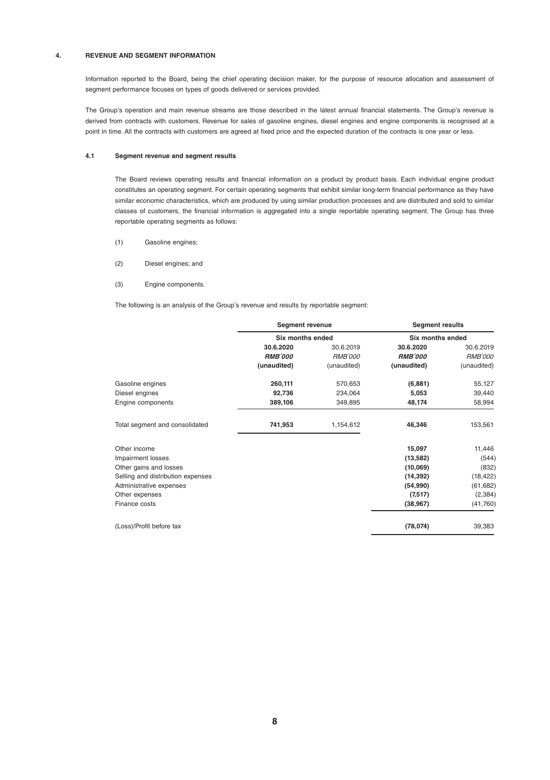#### **4. REVENUE AND SEGMENT INFORMATION**

Information reported to the Board, being the chief operating decision maker, for the purpose of resource allocation and assessment of segment performance focuses on types of goods delivered or services provided.

The Group's operation and main revenue streams are those described in the latest annual financial statements. The Group's revenue is derived from contracts with customers. Revenue for sales of gasoline engines, diesel engines and engine components is recognised at a point in time. All the contracts with customers are agreed at fixed price and the expected duration of the contracts is one year or less.

#### **4.1 Segment revenue and segment results**

The Board reviews operating results and financial information on a product by product basis. Each individual engine product constitutes an operating segment. For certain operating segments that exhibit similar long-term financial performance as they have similar economic characteristics, which are produced by using similar production processes and are distributed and sold to similar classes of customers, the financial information is aggregated into a single reportable operating segment. The Group has three reportable operating segments as follows:

- (1) Gasoline engines;
- (2) Diesel engines; and
- (3) Engine components.

The following is an analysis of the Group's revenue and results by reportable segment:

|                                   | Segment revenue<br>Six months ended |                | <b>Segment results</b> |                |
|-----------------------------------|-------------------------------------|----------------|------------------------|----------------|
|                                   |                                     |                | Six months ended       |                |
|                                   | 30.6.2020                           | 30.6.2019      | 30.6.2020              | 30.6.2019      |
|                                   | <b>RMB'000</b>                      | <b>RMB'000</b> | <b>RMB'000</b>         | <b>RMB'000</b> |
|                                   | (unaudited)                         | (unaudited)    | (unaudited)            | (unaudited)    |
| Gasoline engines                  | 260,111                             | 570,653        | (6,881)                | 55,127         |
| Diesel engines                    | 92,736                              | 234,064        | 5,053                  | 39,440         |
| Engine components                 | 389,106                             | 349,895        | 48,174                 | 58,994         |
| Total segment and consolidated    | 741,953                             | 1,154,612      | 46,346                 | 153,561        |
| Other income                      |                                     |                | 15,097                 | 11,446         |
| Impairment losses                 |                                     |                | (13, 582)              | (544)          |
| Other gains and losses            |                                     |                | (10,069)               | (832)          |
| Selling and distribution expenses |                                     |                | (14, 392)              | (18, 422)      |
| Administrative expenses           |                                     |                | (54,990)               | (61, 682)      |
| Other expenses                    |                                     |                | (7,517)                | (2, 384)       |
| Finance costs                     |                                     |                | (38, 967)              | (41,760)       |
| (Loss)/Profit before tax          |                                     |                | (78, 074)              | 39,383         |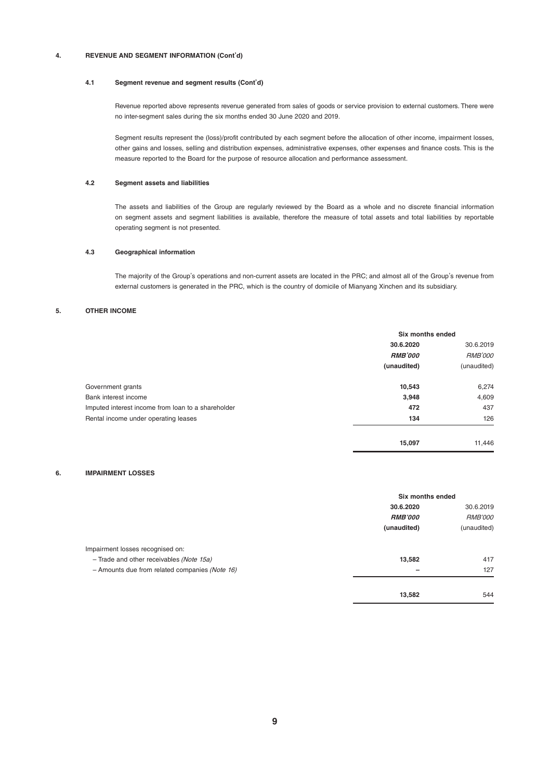#### **4. REVENUE AND SEGMENT INFORMATION (Cont'd)**

#### **4.1 Segment revenue and segment results (Cont'd)**

Revenue reported above represents revenue generated from sales of goods or service provision to external customers. There were no inter-segment sales during the six months ended 30 June 2020 and 2019.

Segment results represent the (loss)/profit contributed by each segment before the allocation of other income, impairment losses, other gains and losses, selling and distribution expenses, administrative expenses, other expenses and finance costs. This is the measure reported to the Board for the purpose of resource allocation and performance assessment.

#### **4.2 Segment assets and liabilities**

The assets and liabilities of the Group are regularly reviewed by the Board as a whole and no discrete financial information on segment assets and segment liabilities is available, therefore the measure of total assets and total liabilities by reportable operating segment is not presented.

#### **4.3 Geographical information**

The majority of the Group's operations and non-current assets are located in the PRC; and almost all of the Group's revenue from external customers is generated in the PRC, which is the country of domicile of Mianyang Xinchen and its subsidiary.

#### **5. OTHER INCOME**

|                                                    | Six months ended |                |
|----------------------------------------------------|------------------|----------------|
|                                                    | 30.6.2020        | 30.6.2019      |
|                                                    | <b>RMB'000</b>   | <b>RMB'000</b> |
|                                                    | (unaudited)      | (unaudited)    |
| Government grants                                  | 10,543           | 6,274          |
| Bank interest income                               | 3,948            | 4,609          |
| Imputed interest income from loan to a shareholder | 472              | 437            |
| Rental income under operating leases               | 134              | 126            |
|                                                    | 15.097           | 11.446         |

#### **6. IMPAIRMENT LOSSES**

|                                                | Six months ended |                |
|------------------------------------------------|------------------|----------------|
|                                                | 30.6.2020        | 30.6.2019      |
|                                                | <b>RMB'000</b>   | <b>RMB'000</b> |
|                                                | (unaudited)      | (unaudited)    |
| Impairment losses recognised on:               |                  |                |
| - Trade and other receivables (Note 15a)       | 13,582           | 417            |
| - Amounts due from related companies (Note 16) | -                | 127            |
|                                                | 13,582           | 544            |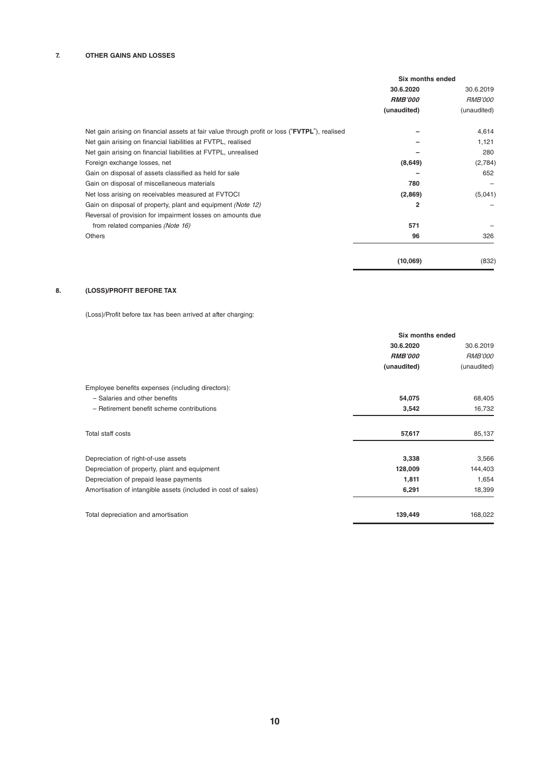|                                                                                               | <b>Six months ended</b> |                |
|-----------------------------------------------------------------------------------------------|-------------------------|----------------|
|                                                                                               | 30.6.2020               | 30.6.2019      |
|                                                                                               | <b>RMB'000</b>          | <b>RMB'000</b> |
|                                                                                               | (unaudited)             | (unaudited)    |
| Net gain arising on financial assets at fair value through profit or loss ("FVTPL"), realised |                         | 4,614          |
| Net gain arising on financial liabilities at FVTPL, realised                                  |                         | 1,121          |
| Net gain arising on financial liabilities at FVTPL, unrealised                                |                         | 280            |
| Foreign exchange losses, net                                                                  | (8,649)                 | (2,784)        |
| Gain on disposal of assets classified as held for sale                                        |                         | 652            |
| Gain on disposal of miscellaneous materials                                                   | 780                     |                |
| Net loss arising on receivables measured at FVTOCI                                            | (2,869)                 | (5,041)        |
| Gain on disposal of property, plant and equipment (Note 12)                                   | $\overline{2}$          |                |
| Reversal of provision for impairment losses on amounts due                                    |                         |                |
| from related companies (Note 16)                                                              | 571                     |                |
| Others                                                                                        | 96                      | 326            |
|                                                                                               | (10,069)                | (832)          |

#### **8. (LOSS)/PROFIT BEFORE TAX**

(Loss)/Profit before tax has been arrived at after charging:

|                                                               | Six months ended |                |  |
|---------------------------------------------------------------|------------------|----------------|--|
|                                                               | 30.6.2020        | 30.6.2019      |  |
|                                                               | <b>RMB'000</b>   | <b>RMB'000</b> |  |
|                                                               | (unaudited)      | (unaudited)    |  |
| Employee benefits expenses (including directors):             |                  |                |  |
| - Salaries and other benefits                                 | 54,075           | 68,405         |  |
| - Retirement benefit scheme contributions                     | 3,542            | 16,732         |  |
| Total staff costs                                             | 57,617           | 85,137         |  |
| Depreciation of right-of-use assets                           | 3,338            | 3,566          |  |
| Depreciation of property, plant and equipment                 | 128,009          | 144,403        |  |
| Depreciation of prepaid lease payments                        | 1,811            | 1,654          |  |
| Amortisation of intangible assets (included in cost of sales) | 6,291            | 18,399         |  |
| Total depreciation and amortisation                           | 139,449          | 168,022        |  |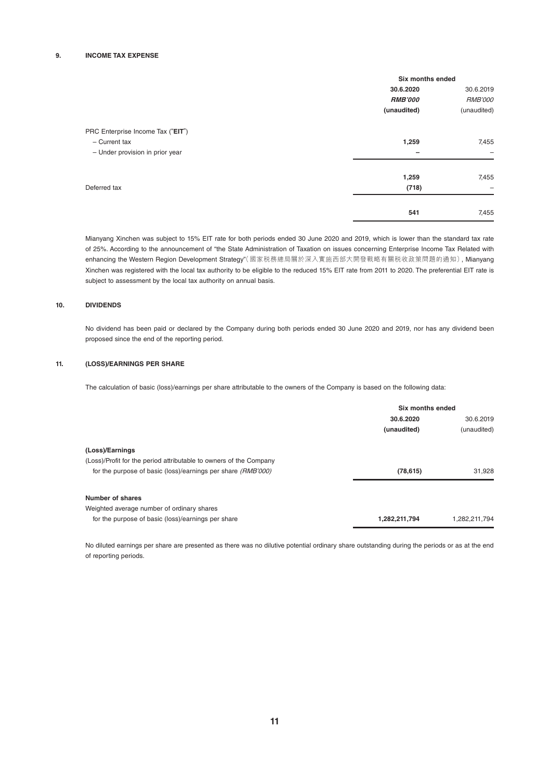|                                   | Six months ended |                          |
|-----------------------------------|------------------|--------------------------|
|                                   | 30.6.2020        | 30.6.2019                |
|                                   | <b>RMB'000</b>   | <b>RMB'000</b>           |
|                                   | (unaudited)      | (unaudited)              |
| PRC Enterprise Income Tax ("EIT") |                  |                          |
| - Current tax                     | 1,259            | 7,455                    |
| - Under provision in prior year   |                  | $\overline{\phantom{0}}$ |
|                                   | 1,259            | 7,455                    |
| Deferred tax                      | (718)            | $\overline{\phantom{0}}$ |
|                                   | 541              | 7,455                    |

Mianyang Xinchen was subject to 15% EIT rate for both periods ended 30 June 2020 and 2019, which is lower than the standard tax rate of 25%. According to the announcement of "the State Administration of Taxation on issues concerning Enterprise Income Tax Related with enhancing the Western Region Development Strategy"(國家税務總局關於深入實施西部大開發戰略有關税收政策問題的通知), Mianyang Xinchen was registered with the local tax authority to be eligible to the reduced 15% EIT rate from 2011 to 2020. The preferential EIT rate is subject to assessment by the local tax authority on annual basis.

#### **10. DIVIDENDS**

No dividend has been paid or declared by the Company during both periods ended 30 June 2020 and 2019, nor has any dividend been proposed since the end of the reporting period.

#### **11. (LOSS)/EARNINGS PER SHARE**

The calculation of basic (loss)/earnings per share attributable to the owners of the Company is based on the following data:

|                                                                    | Six months ended |               |
|--------------------------------------------------------------------|------------------|---------------|
|                                                                    | 30.6.2020        | 30.6.2019     |
|                                                                    | (unaudited)      | (unaudited)   |
| (Loss)/Earnings                                                    |                  |               |
| (Loss)/Profit for the period attributable to owners of the Company |                  |               |
| for the purpose of basic (loss)/earnings per share (RMB'000)       | (78, 615)        | 31.928        |
| Number of shares                                                   |                  |               |
| Weighted average number of ordinary shares                         |                  |               |
| for the purpose of basic (loss)/earnings per share                 | 1,282,211,794    | 1.282.211.794 |

No diluted earnings per share are presented as there was no dilutive potential ordinary share outstanding during the periods or as at the end of reporting periods.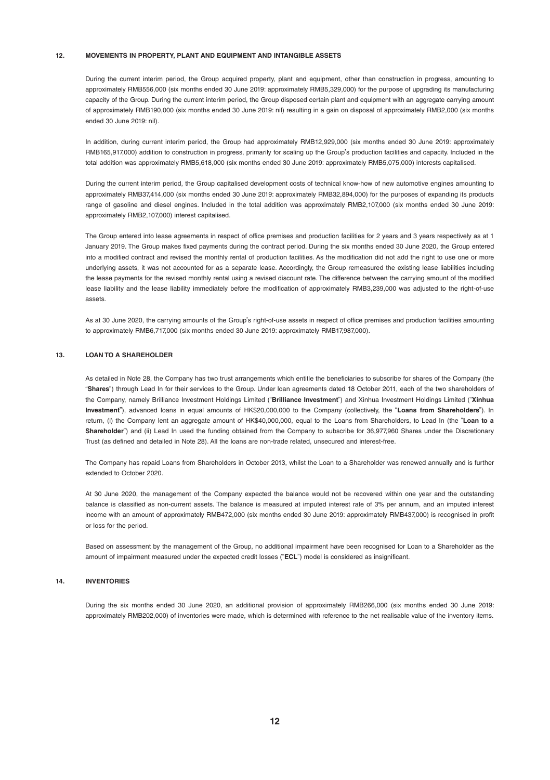#### **12. MOVEMENTS IN PROPERTY, PLANT AND EQUIPMENT AND INTANGIBLE ASSETS**

During the current interim period, the Group acquired property, plant and equipment, other than construction in progress, amounting to approximately RMB556,000 (six months ended 30 June 2019: approximately RMB5,329,000) for the purpose of upgrading its manufacturing capacity of the Group. During the current interim period, the Group disposed certain plant and equipment with an aggregate carrying amount of approximately RMB190,000 (six months ended 30 June 2019: nil) resulting in a gain on disposal of approximately RMB2,000 (six months ended 30 June 2019: nil).

In addition, during current interim period, the Group had approximately RMB12,929,000 (six months ended 30 June 2019: approximately RMB165,917,000) addition to construction in progress, primarily for scaling up the Group's production facilities and capacity. Included in the total addition was approximately RMB5,618,000 (six months ended 30 June 2019: approximately RMB5,075,000) interests capitalised.

During the current interim period, the Group capitalised development costs of technical know-how of new automotive engines amounting to approximately RMB37,414,000 (six months ended 30 June 2019: approximately RMB32,894,000) for the purposes of expanding its products range of gasoline and diesel engines. Included in the total addition was approximately RMB2,107,000 (six months ended 30 June 2019: approximately RMB2,107,000) interest capitalised.

The Group entered into lease agreements in respect of office premises and production facilities for 2 years and 3 years respectively as at 1 January 2019. The Group makes fixed payments during the contract period. During the six months ended 30 June 2020, the Group entered into a modified contract and revised the monthly rental of production facilities. As the modification did not add the right to use one or more underlying assets, it was not accounted for as a separate lease. Accordingly, the Group remeasured the existing lease liabilities including the lease payments for the revised monthly rental using a revised discount rate. The difference between the carrying amount of the modified lease liability and the lease liability immediately before the modification of approximately RMB3,239,000 was adjusted to the right-of-use assets.

As at 30 June 2020, the carrying amounts of the Group's right-of-use assets in respect of office premises and production facilities amounting to approximately RMB6,717,000 (six months ended 30 June 2019: approximately RMB17,987,000).

#### **13. LOAN TO A SHAREHOLDER**

As detailed in Note 28, the Company has two trust arrangements which entitle the beneficiaries to subscribe for shares of the Company (the "**Shares**") through Lead In for their services to the Group. Under loan agreements dated 18 October 2011, each of the two shareholders of the Company, namely Brilliance Investment Holdings Limited ("**Brilliance Investment**") and Xinhua Investment Holdings Limited ("**Xinhua Investment**"), advanced loans in equal amounts of HK\$20,000,000 to the Company (collectively, the "**Loans from Shareholders**"). In return, (i) the Company lent an aggregate amount of HK\$40,000,000, equal to the Loans from Shareholders, to Lead In (the "**Loan to a Shareholder**") and (ii) Lead In used the funding obtained from the Company to subscribe for 36,977,960 Shares under the Discretionary Trust (as defined and detailed in Note 28). All the loans are non-trade related, unsecured and interest-free.

The Company has repaid Loans from Shareholders in October 2013, whilst the Loan to a Shareholder was renewed annually and is further extended to October 2020.

At 30 June 2020, the management of the Company expected the balance would not be recovered within one year and the outstanding balance is classified as non-current assets. The balance is measured at imputed interest rate of 3% per annum, and an imputed interest income with an amount of approximately RMB472,000 (six months ended 30 June 2019: approximately RMB437,000) is recognised in profit or loss for the period.

Based on assessment by the management of the Group, no additional impairment have been recognised for Loan to a Shareholder as the amount of impairment measured under the expected credit losses ("**ECL**") model is considered as insignificant.

#### **14. INVENTORIES**

During the six months ended 30 June 2020, an additional provision of approximately RMB266,000 (six months ended 30 June 2019: approximately RMB202,000) of inventories were made, which is determined with reference to the net realisable value of the inventory items.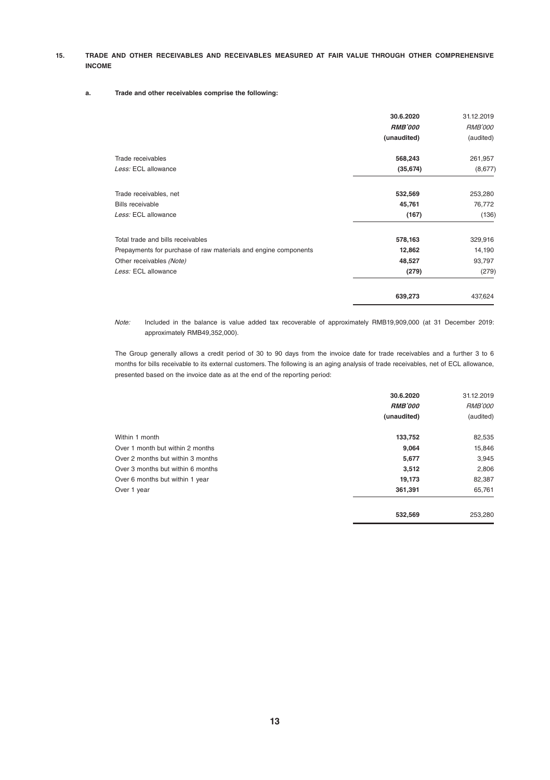#### **15. TRADE AND OTHER RECEIVABLES AND RECEIVABLES MEASURED AT FAIR VALUE THROUGH OTHER COMPREHENSIVE INCOME**

#### **a. Trade and other receivables comprise the following:**

|                                                                 | 30.6.2020<br><b>RMB'000</b><br>(unaudited) | 31.12.2019<br><b>RMB'000</b><br>(audited) |
|-----------------------------------------------------------------|--------------------------------------------|-------------------------------------------|
| Trade receivables                                               | 568,243                                    | 261,957                                   |
| Less: ECL allowance                                             | (35, 674)                                  | (8,677)                                   |
| Trade receivables, net                                          | 532,569                                    | 253,280                                   |
| Bills receivable                                                | 45,761                                     | 76,772                                    |
| Less: ECL allowance                                             | (167)                                      | (136)                                     |
| Total trade and bills receivables                               | 578,163                                    | 329,916                                   |
| Prepayments for purchase of raw materials and engine components | 12,862                                     | 14,190                                    |
| Other receivables (Note)                                        | 48,527                                     | 93,797                                    |
| Less: ECL allowance                                             | (279)                                      | (279)                                     |
|                                                                 | 639,273                                    | 437,624                                   |

Note: Included in the balance is value added tax recoverable of approximately RMB19,909,000 (at 31 December 2019: approximately RMB49,352,000).

The Group generally allows a credit period of 30 to 90 days from the invoice date for trade receivables and a further 3 to 6 months for bills receivable to its external customers. The following is an aging analysis of trade receivables, net of ECL allowance, presented based on the invoice date as at the end of the reporting period:

|                                   | 30.6.2020      | 31.12.2019     |
|-----------------------------------|----------------|----------------|
|                                   | <b>RMB'000</b> | <b>RMB'000</b> |
|                                   | (unaudited)    | (audited)      |
| Within 1 month                    | 133,752        | 82,535         |
| Over 1 month but within 2 months  | 9.064          | 15,846         |
| Over 2 months but within 3 months | 5,677          | 3,945          |
| Over 3 months but within 6 months | 3.512          | 2,806          |
| Over 6 months but within 1 year   | 19,173         | 82,387         |
| Over 1 year                       | 361,391        | 65,761         |
|                                   | 532.569        | 253,280        |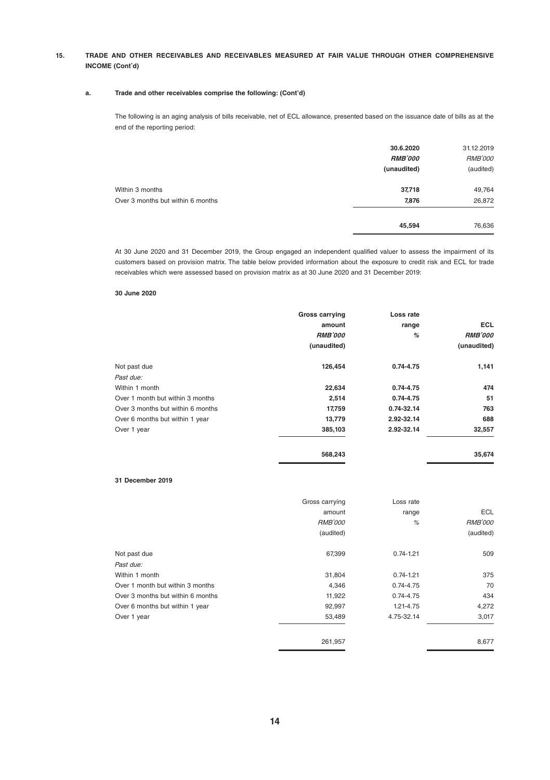#### **15. TRADE AND OTHER RECEIVABLES AND RECEIVABLES MEASURED AT FAIR VALUE THROUGH OTHER COMPREHENSIVE INCOME (Cont'd)**

#### **a. Trade and other receivables comprise the following: (Cont'd)**

The following is an aging analysis of bills receivable, net of ECL allowance, presented based on the issuance date of bills as at the end of the reporting period:

|                                   | 30.6.2020      | 31.12.2019     |
|-----------------------------------|----------------|----------------|
|                                   | <b>RMB'000</b> | <b>RMB'000</b> |
|                                   | (unaudited)    | (audited)      |
| Within 3 months                   | 37,718         | 49,764         |
| Over 3 months but within 6 months | 7,876          | 26,872         |
|                                   | 45,594         | 76,636         |
|                                   |                |                |

At 30 June 2020 and 31 December 2019, the Group engaged an independent qualified valuer to assess the impairment of its customers based on provision matrix. The table below provided information about the exposure to credit risk and ECL for trade receivables which were assessed based on provision matrix as at 30 June 2020 and 31 December 2019:

#### **30 June 2020**

|                                   | <b>Gross carrying</b> | Loss rate  |                |
|-----------------------------------|-----------------------|------------|----------------|
|                                   | amount                | range      | <b>ECL</b>     |
|                                   | <b>RMB'000</b>        | %          | <b>RMB'000</b> |
|                                   | (unaudited)           |            | (unaudited)    |
| Not past due                      | 126.454               | 0.74-4.75  | 1,141          |
| Past due:                         |                       |            |                |
| Within 1 month                    | 22.634                | 0.74-4.75  | 474            |
| Over 1 month but within 3 months  | 2.514                 | 0.74-4.75  | 51             |
| Over 3 months but within 6 months | 17.759                | 0.74-32.14 | 763            |
| Over 6 months but within 1 year   | 13,779                | 2.92-32.14 | 688            |
| Over 1 year                       | 385.103               | 2.92-32.14 | 32,557         |
|                                   | 568.243               |            | 35.674         |

#### **31 December 2019**

|                                   | Gross carrying | Loss rate     |                |
|-----------------------------------|----------------|---------------|----------------|
|                                   | amount         | range         | ECL            |
|                                   | <b>RMB'000</b> | %             | <b>RMB'000</b> |
|                                   | (audited)      |               | (audited)      |
| Not past due                      | 67,399         | $0.74 - 1.21$ | 509            |
| Past due:                         |                |               |                |
| Within 1 month                    | 31,804         | $0.74 - 1.21$ | 375            |
| Over 1 month but within 3 months  | 4.346          | $0.74 - 4.75$ | 70             |
| Over 3 months but within 6 months | 11,922         | $0.74 - 4.75$ | 434            |
| Over 6 months but within 1 year   | 92,997         | 1.21-4.75     | 4,272          |
| Over 1 year                       | 53,489         | 4.75-32.14    | 3,017          |
|                                   | 261.957        |               | 8.677          |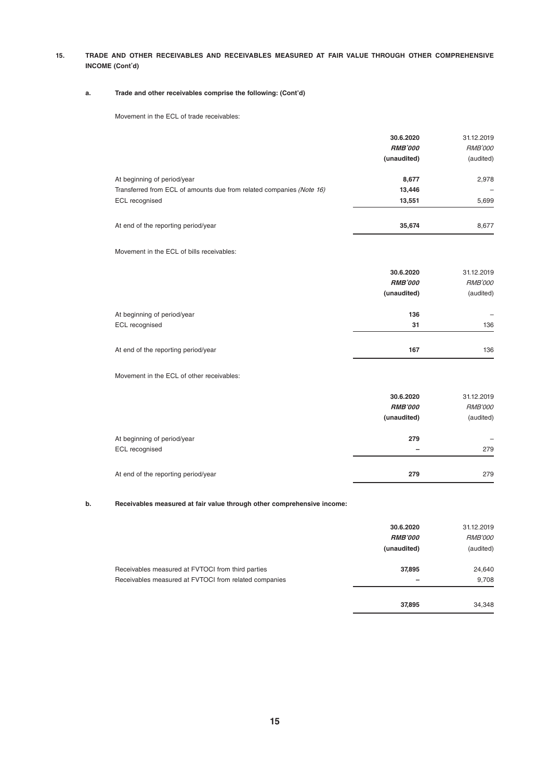**15. TRADE AND OTHER RECEIVABLES AND RECEIVABLES MEASURED AT FAIR VALUE THROUGH OTHER COMPREHENSIVE INCOME (Cont'd)**

#### **a. Trade and other receivables comprise the following: (Cont'd)**

Movement in the ECL of trade receivables:

|                                                                                                                       | 30.6.2020<br><b>RMB'000</b><br>(unaudited) | 31.12.2019<br><b>RMB'000</b><br>(audited) |
|-----------------------------------------------------------------------------------------------------------------------|--------------------------------------------|-------------------------------------------|
| At beginning of period/year<br>Transferred from ECL of amounts due from related companies (Note 16)<br>ECL recognised | 8,677<br>13,446<br>13.551                  | 2,978<br>5,699                            |
| At end of the reporting period/year                                                                                   | 35.674                                     | 8,677                                     |

Movement in the ECL of bills receivables:

|                                     | 30.6.2020      | 31.12.2019     |
|-------------------------------------|----------------|----------------|
|                                     | <b>RMB'000</b> | <b>RMB'000</b> |
|                                     | (unaudited)    | (audited)      |
| At beginning of period/year         | 136            |                |
| ECL recognised                      | 31             | 136            |
|                                     |                |                |
| At end of the reporting period/year | 167            | 136            |

Movement in the ECL of other receivables:

|                                     | 30.6.2020<br><b>RMB'000</b><br>(unaudited) | 31.12.2019<br><b>RMB'000</b><br>(audited) |
|-------------------------------------|--------------------------------------------|-------------------------------------------|
| At beginning of period/year         | 279                                        |                                           |
| ECL recognised                      | $\overline{\phantom{a}}$                   | 279                                       |
| At end of the reporting period/year | 279                                        | 279                                       |

#### **b. Receivables measured at fair value through other comprehensive income:**

|                                                                                                            | 30.6.2020<br><b>RMB'000</b><br>(unaudited) | 31.12.2019<br><b>RMB'000</b><br>(audited) |
|------------------------------------------------------------------------------------------------------------|--------------------------------------------|-------------------------------------------|
| Receivables measured at FVTOCI from third parties<br>Receivables measured at FVTOCI from related companies | 37,895                                     | 24,640<br>9.708                           |
|                                                                                                            | 37.895                                     | 34,348                                    |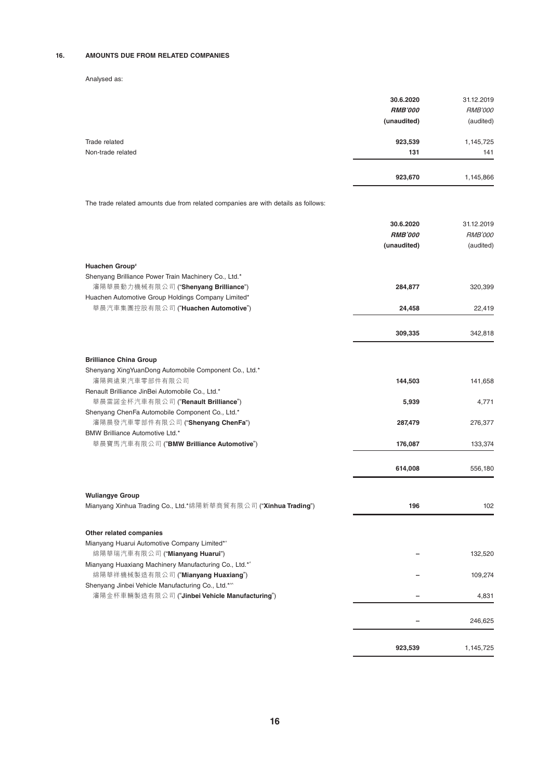### **16. AMOUNTS DUE FROM RELATED COMPANIES**

#### Analysed as:

|                   | 923,670        | 1,145,866      |
|-------------------|----------------|----------------|
| Non-trade related | 131            | 141            |
| Trade related     | 923,539        | 1,145,725      |
|                   | (unaudited)    | (audited)      |
|                   | <b>RMB'000</b> | <b>RMB'000</b> |
|                   | 30.6.2020      | 31.12.2019     |

The trade related amounts due from related companies are with details as follows:

|                                                                                        | 30.6.2020      | 31.12.2019     |
|----------------------------------------------------------------------------------------|----------------|----------------|
|                                                                                        | <b>RMB'000</b> | <b>RMB'000</b> |
|                                                                                        | (unaudited)    | (audited)      |
| Huachen Group <sup>®</sup>                                                             |                |                |
| Shenyang Brilliance Power Train Machinery Co., Ltd.*                                   |                |                |
| 瀋陽華晨動力機械有限公司 ("Shenyang Brilliance")                                                   | 284,877        | 320,399        |
| Huachen Automotive Group Holdings Company Limited*                                     |                |                |
| 華晨汽車集團控股有限公司 ("Huachen Automotive")                                                    | 24,458         | 22,419         |
|                                                                                        | 309,335        | 342,818        |
|                                                                                        |                |                |
| <b>Brilliance China Group</b>                                                          |                |                |
| Shenyang XingYuanDong Automobile Component Co., Ltd.*                                  |                |                |
| 瀋陽興遠東汽車零部件有限公司                                                                         | 144,503        | 141,658        |
| Renault Brilliance JinBei Automobile Co., Ltd.*<br>華晨雷諾金杯汽車有限公司 ("Renault Brilliance") | 5,939          | 4,771          |
| Shenyang ChenFa Automobile Component Co., Ltd.*                                        |                |                |
| 瀋陽晨發汽車零部件有限公司 ("Shenyang ChenFa")                                                      | 287,479        | 276,377        |
| BMW Brilliance Automotive Ltd.*                                                        |                |                |
| 華晨寶馬汽車有限公司 ("BMW Brilliance Automotive")                                               | 176,087        | 133,374        |
|                                                                                        | 614,008        | 556,180        |
|                                                                                        |                |                |
| <b>Wuliangye Group</b>                                                                 |                |                |
| Mianyang Xinhua Trading Co., Ltd.*綿陽新華商貿有限公司 ("Xinhua Trading")                        | 196            | 102            |
| Other related companies                                                                |                |                |
| Mianyang Huarui Automotive Company Limited*^                                           |                |                |
| 綿陽華瑞汽車有限公司 ("Mianyang Huarui")                                                         |                | 132,520        |
| Mianyang Huaxiang Machinery Manufacturing Co., Ltd.*^                                  |                |                |
| 綿陽華祥機械製造有限公司 ("Mianyang Huaxiang")                                                     |                | 109,274        |
| Shenyang Jinbei Vehicle Manufacturing Co., Ltd.*^^                                     |                |                |
| 瀋陽金杯車輛製造有限公司 ("Jinbei Vehicle Manufacturing")                                          |                | 4.831          |
|                                                                                        |                | 246,625        |
|                                                                                        |                |                |
|                                                                                        | 923,539        | 1,145,725      |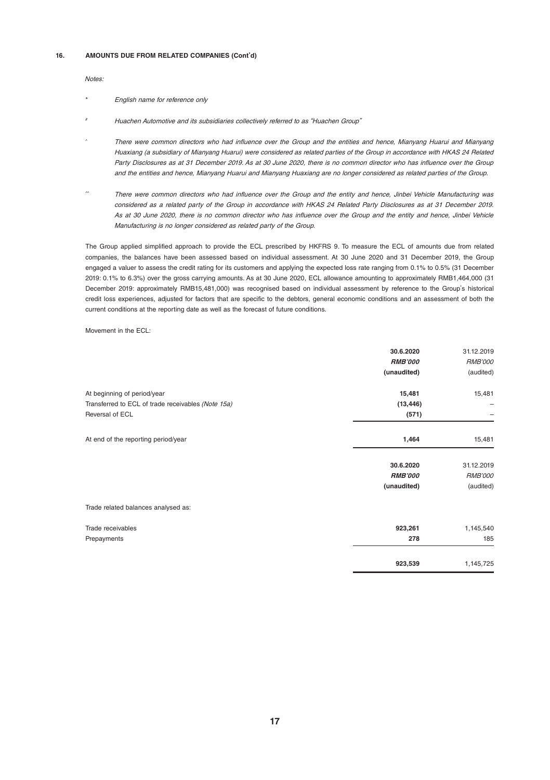#### **16. AMOUNTS DUE FROM RELATED COMPANIES (Cont'd)**

Notes:

- English name for reference only
- # Huachen Automotive and its subsidiaries collectively referred to as "Huachen Group"
- There were common directors who had influence over the Group and the entities and hence, Mianyang Huarui and Mianyang Huaxiang (a subsidiary of Mianyang Huarui) were considered as related parties of the Group in accordance with HKAS 24 Related Party Disclosures as at 31 December 2019. As at 30 June 2020, there is no common director who has influence over the Group and the entities and hence, Mianyang Huarui and Mianyang Huaxiang are no longer considered as related parties of the Group.
- There were common directors who had influence over the Group and the entity and hence, Jinbei Vehicle Manufacturing was considered as a related party of the Group in accordance with HKAS 24 Related Party Disclosures as at 31 December 2019. As at 30 June 2020, there is no common director who has influence over the Group and the entity and hence, Jinbei Vehicle Manufacturing is no longer considered as related party of the Group.

The Group applied simplified approach to provide the ECL prescribed by HKFRS 9. To measure the ECL of amounts due from related companies, the balances have been assessed based on individual assessment. At 30 June 2020 and 31 December 2019, the Group engaged a valuer to assess the credit rating for its customers and applying the expected loss rate ranging from 0.1% to 0.5% (31 December 2019: 0.1% to 6.3%) over the gross carrying amounts. As at 30 June 2020, ECL allowance amounting to approximately RMB1,464,000 (31 December 2019: approximately RMB15,481,000) was recognised based on individual assessment by reference to the Group's historical credit loss experiences, adjusted for factors that are specific to the debtors, general economic conditions and an assessment of both the current conditions at the reporting date as well as the forecast of future conditions.

#### Movement in the ECL:

|                                                    | 30.6.2020<br><b>RMB'000</b> | 31.12.2019<br><b>RMB'000</b> |
|----------------------------------------------------|-----------------------------|------------------------------|
|                                                    | (unaudited)                 | (audited)                    |
| At beginning of period/year                        | 15,481                      | 15,481                       |
| Transferred to ECL of trade receivables (Note 15a) | (13, 446)                   |                              |
| Reversal of ECL                                    | (571)                       |                              |
| At end of the reporting period/year                | 1,464                       | 15,481                       |
|                                                    | 30.6.2020                   | 31.12.2019                   |
|                                                    | <b>RMB'000</b>              | <b>RMB'000</b>               |
|                                                    | (unaudited)                 | (audited)                    |
| Trade related balances analysed as:                |                             |                              |
| Trade receivables                                  | 923,261                     | 1,145,540                    |
| Prepayments                                        | 278                         | 185                          |
|                                                    | 923,539                     | 1,145,725                    |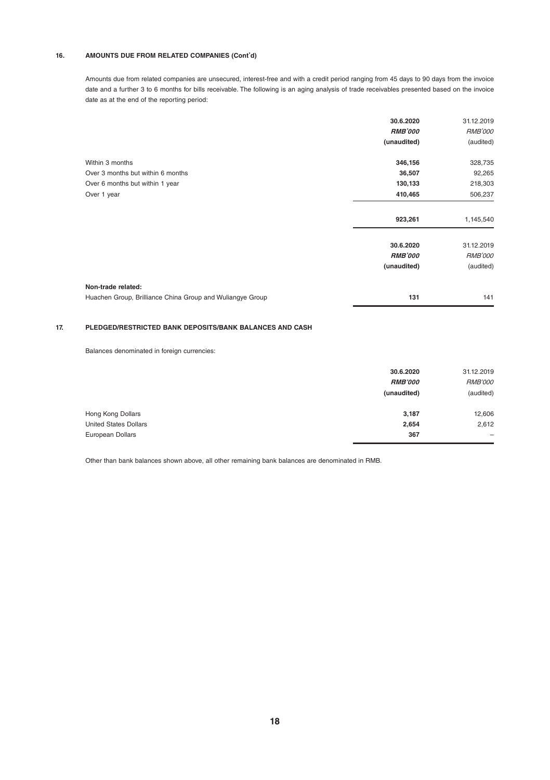#### **16. AMOUNTS DUE FROM RELATED COMPANIES (Cont'd)**

Amounts due from related companies are unsecured, interest-free and with a credit period ranging from 45 days to 90 days from the invoice date and a further 3 to 6 months for bills receivable. The following is an aging analysis of trade receivables presented based on the invoice date as at the end of the reporting period:

|                                                           | 30.6.2020      | 31.12.2019     |
|-----------------------------------------------------------|----------------|----------------|
|                                                           | <b>RMB'000</b> | <b>RMB'000</b> |
|                                                           | (unaudited)    | (audited)      |
| Within 3 months                                           | 346,156        | 328,735        |
| Over 3 months but within 6 months                         | 36,507         | 92,265         |
| Over 6 months but within 1 year                           | 130,133        | 218,303        |
| Over 1 year                                               | 410,465        | 506,237        |
|                                                           | 923,261        | 1,145,540      |
|                                                           | 30.6.2020      | 31.12.2019     |
|                                                           | <b>RMB'000</b> | <b>RMB'000</b> |
|                                                           | (unaudited)    | (audited)      |
| Non-trade related:                                        |                |                |
| Huachen Group, Brilliance China Group and Wuliangye Group | 131            | 141            |

#### **17. PLEDGED/RESTRICTED BANK DEPOSITS/BANK BALANCES AND CASH**

Balances denominated in foreign currencies:

|                              | 30.6.2020<br><b>RMB'000</b><br>(unaudited) | 31.12.2019<br><b>RMB'000</b><br>(audited) |
|------------------------------|--------------------------------------------|-------------------------------------------|
| Hong Kong Dollars            | 3,187                                      | 12,606                                    |
| <b>United States Dollars</b> | 2,654                                      | 2,612                                     |
| European Dollars             | 367                                        | $\overline{\phantom{0}}$                  |

Other than bank balances shown above, all other remaining bank balances are denominated in RMB.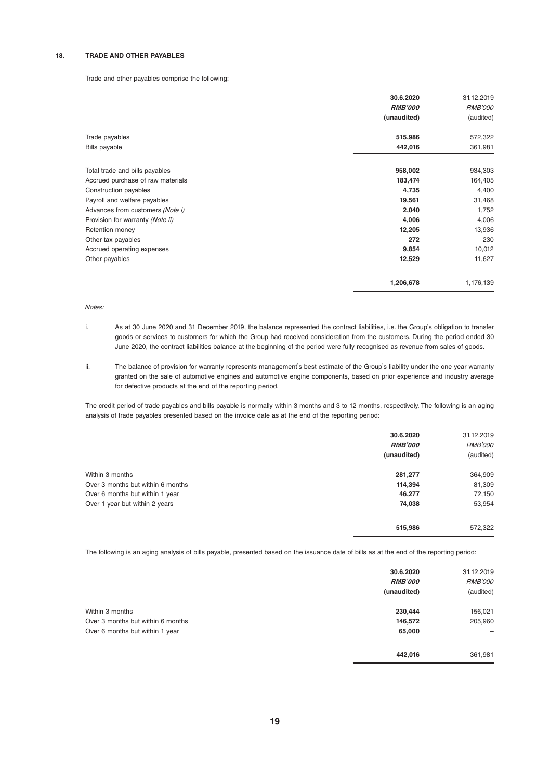#### **18. TRADE AND OTHER PAYABLES**

#### Trade and other payables comprise the following:

|                                   | 30.6.2020<br><b>RMB'000</b><br>(unaudited) | 31.12.2019<br><b>RMB'000</b><br>(audited) |
|-----------------------------------|--------------------------------------------|-------------------------------------------|
| Trade payables                    | 515,986                                    | 572,322                                   |
| Bills payable                     | 442,016                                    | 361,981                                   |
| Total trade and bills payables    | 958,002                                    | 934,303                                   |
| Accrued purchase of raw materials | 183,474                                    | 164,405                                   |
| Construction payables             | 4,735                                      | 4,400                                     |
| Payroll and welfare payables      | 19,561                                     | 31,468                                    |
| Advances from customers (Note i)  | 2,040                                      | 1,752                                     |
| Provision for warranty (Note ii)  | 4,006                                      | 4,006                                     |
| Retention money                   | 12,205                                     | 13,936                                    |
| Other tax payables                | 272                                        | 230                                       |
| Accrued operating expenses        | 9,854                                      | 10,012                                    |
| Other payables                    | 12,529                                     | 11,627                                    |
|                                   | 1,206,678                                  | 1,176,139                                 |

Notes:

- i. As at 30 June 2020 and 31 December 2019, the balance represented the contract liabilities, i.e. the Group's obligation to transfer goods or services to customers for which the Group had received consideration from the customers. During the period ended 30 June 2020, the contract liabilities balance at the beginning of the period were fully recognised as revenue from sales of goods.
- ii. The balance of provision for warranty represents management's best estimate of the Group's liability under the one year warranty granted on the sale of automotive engines and automotive engine components, based on prior experience and industry average for defective products at the end of the reporting period.

The credit period of trade payables and bills payable is normally within 3 months and 3 to 12 months, respectively. The following is an aging analysis of trade payables presented based on the invoice date as at the end of the reporting period:

|                                   | 30.6.2020<br><b>RMB'000</b><br>(unaudited) | 31.12.2019<br><b>RMB'000</b><br>(audited) |
|-----------------------------------|--------------------------------------------|-------------------------------------------|
|                                   |                                            |                                           |
| Within 3 months                   | 281,277                                    | 364,909                                   |
| Over 3 months but within 6 months | 114,394                                    | 81,309                                    |
| Over 6 months but within 1 year   | 46,277                                     | 72,150                                    |
| Over 1 year but within 2 years    | 74,038                                     | 53,954                                    |
|                                   | 515.986                                    | 572,322                                   |

The following is an aging analysis of bills payable, presented based on the issuance date of bills as at the end of the reporting period: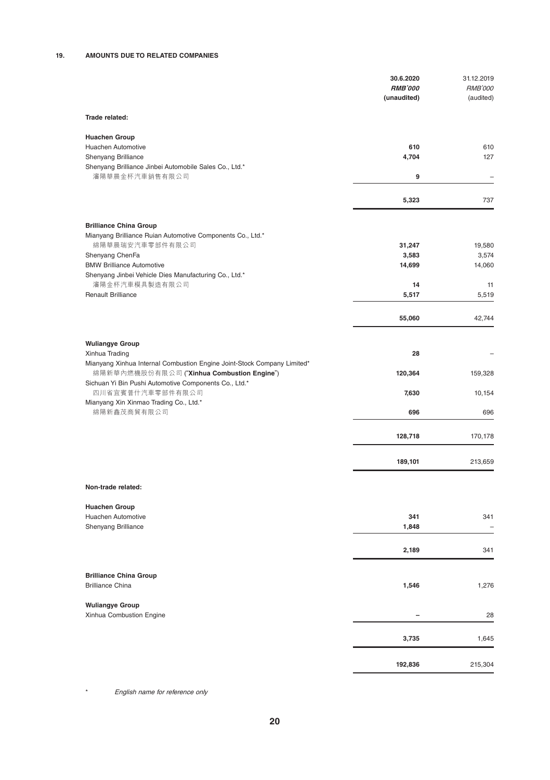|                                                                                           | 30.6.2020<br><b>RMB'000</b><br>(unaudited) | 31.12.2019<br><b>RMB'000</b><br>(audited) |
|-------------------------------------------------------------------------------------------|--------------------------------------------|-------------------------------------------|
| Trade related:                                                                            |                                            |                                           |
| <b>Huachen Group</b>                                                                      |                                            |                                           |
| Huachen Automotive                                                                        | 610                                        | 610                                       |
| Shenyang Brilliance                                                                       | 4,704                                      | 127                                       |
| Shenyang Brilliance Jinbei Automobile Sales Co., Ltd.*<br>瀋陽華晨金杯汽車銷售有限公司                  | 9                                          | $\overline{a}$                            |
|                                                                                           |                                            |                                           |
|                                                                                           | 5,323                                      | 737                                       |
| <b>Brilliance China Group</b>                                                             |                                            |                                           |
| Mianyang Brilliance Ruian Automotive Components Co., Ltd.*                                |                                            |                                           |
| 綿陽華晨瑞安汽車零部件有限公司                                                                           | 31,247                                     | 19,580                                    |
| Shenyang ChenFa                                                                           | 3,583                                      | 3,574                                     |
| <b>BMW Brilliance Automotive</b>                                                          | 14,699                                     | 14,060                                    |
| Shenyang Jinbei Vehicle Dies Manufacturing Co., Ltd.*                                     |                                            |                                           |
| 瀋陽金杯汽車模具製造有限公司                                                                            | 14                                         | 11                                        |
| <b>Renault Brilliance</b>                                                                 | 5,517                                      | 5,519                                     |
|                                                                                           | 55,060                                     | 42,744                                    |
|                                                                                           |                                            |                                           |
| <b>Wuliangye Group</b>                                                                    |                                            |                                           |
| Xinhua Trading<br>Mianyang Xinhua Internal Combustion Engine Joint-Stock Company Limited* | 28                                         |                                           |
| 綿陽新華內燃機股份有限公司 ("Xinhua Combustion Engine")                                                | 120,364                                    | 159,328                                   |
| Sichuan Yi Bin Pushi Automotive Components Co., Ltd.*                                     |                                            |                                           |
| 四川省宜賓普什汽車零部件有限公司                                                                          | 7,630                                      | 10,154                                    |
| Mianyang Xin Xinmao Trading Co., Ltd.*<br>綿陽新鑫茂商貿有限公司                                     | 696                                        | 696                                       |
|                                                                                           |                                            |                                           |
|                                                                                           | 128,718                                    | 170,178                                   |
|                                                                                           | 189,101                                    | 213,659                                   |
| Non-trade related:                                                                        |                                            |                                           |
|                                                                                           |                                            |                                           |
| <b>Huachen Group</b>                                                                      |                                            |                                           |
| Huachen Automotive<br>Shenyang Brilliance                                                 | 341<br>1,848                               | 341                                       |
|                                                                                           |                                            |                                           |
|                                                                                           | 2,189                                      | 341                                       |
|                                                                                           |                                            |                                           |
| <b>Brilliance China Group</b><br><b>Brilliance China</b>                                  | 1,546                                      | 1,276                                     |
|                                                                                           |                                            |                                           |
| <b>Wuliangye Group</b>                                                                    |                                            |                                           |
| Xinhua Combustion Engine                                                                  |                                            | 28                                        |
|                                                                                           | 3,735                                      | 1,645                                     |
|                                                                                           |                                            |                                           |
|                                                                                           | 192,836                                    | 215,304                                   |

\* English name for reference only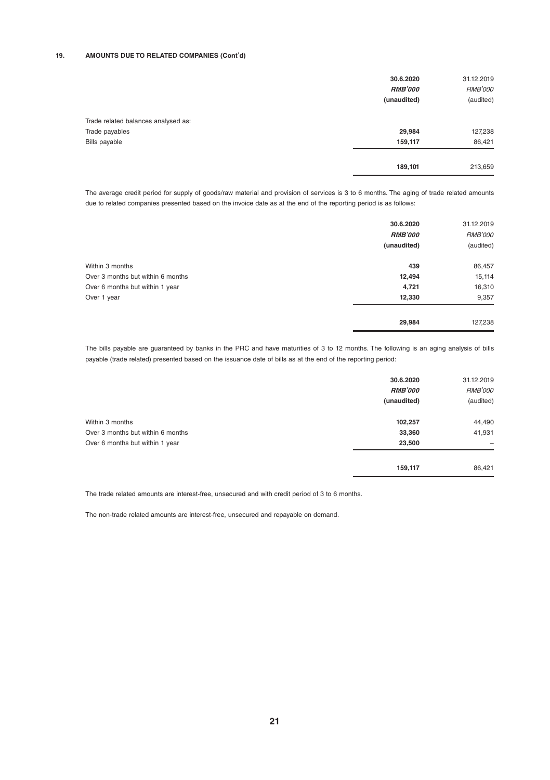#### **19. AMOUNTS DUE TO RELATED COMPANIES (Cont'd)**

|                                     | 30.6.2020<br><b>RMB'000</b><br>(unaudited) | 31.12.2019<br><b>RMB'000</b><br>(audited) |
|-------------------------------------|--------------------------------------------|-------------------------------------------|
| Trade related balances analysed as: |                                            |                                           |
| Trade payables                      | 29,984                                     | 127,238                                   |
| Bills payable                       | 159,117                                    | 86,421                                    |
|                                     | 189,101                                    | 213,659                                   |

The average credit period for supply of goods/raw material and provision of services is 3 to 6 months. The aging of trade related amounts due to related companies presented based on the invoice date as at the end of the reporting period is as follows:

|                                   | 30.6.2020<br><b>RMB'000</b> | 31.12.2019<br><b>RMB'000</b> |
|-----------------------------------|-----------------------------|------------------------------|
|                                   | (unaudited)                 | (audited)                    |
| Within 3 months                   | 439                         | 86,457                       |
| Over 3 months but within 6 months | 12,494                      | 15,114                       |
| Over 6 months but within 1 year   | 4,721                       | 16,310                       |
| Over 1 year                       | 12,330                      | 9,357                        |
|                                   | 29,984                      | 127,238                      |

The bills payable are guaranteed by banks in the PRC and have maturities of 3 to 12 months. The following is an aging analysis of bills payable (trade related) presented based on the issuance date of bills as at the end of the reporting period:

|                                   | 30.6.2020<br><b>RMB'000</b><br>(unaudited) | 31.12.2019<br><b>RMB'000</b><br>(audited) |
|-----------------------------------|--------------------------------------------|-------------------------------------------|
| Within 3 months                   | 102,257                                    | 44,490                                    |
| Over 3 months but within 6 months | 33,360                                     | 41,931                                    |
| Over 6 months but within 1 year   | 23,500                                     | -                                         |
|                                   | 159,117                                    | 86,421                                    |

The trade related amounts are interest-free, unsecured and with credit period of 3 to 6 months.

The non-trade related amounts are interest-free, unsecured and repayable on demand.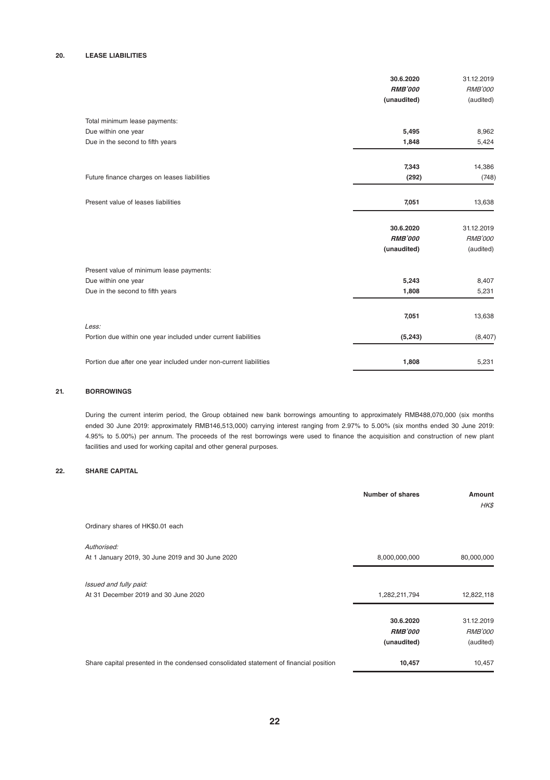#### **20. LEASE LIABILITIES**

|                                                                         | 30.6.2020<br><b>RMB'000</b><br>(unaudited) | 31.12.2019<br><b>RMB'000</b><br>(audited) |
|-------------------------------------------------------------------------|--------------------------------------------|-------------------------------------------|
| Total minimum lease payments:                                           |                                            |                                           |
| Due within one year                                                     | 5,495                                      | 8,962                                     |
| Due in the second to fifth years                                        | 1,848                                      | 5,424                                     |
|                                                                         | 7,343                                      | 14,386                                    |
| Future finance charges on leases liabilities                            | (292)                                      | (748)                                     |
| Present value of leases liabilities                                     | 7.051                                      | 13,638                                    |
|                                                                         | 30.6.2020                                  | 31.12.2019                                |
|                                                                         | <b>RMB'000</b>                             | <b>RMB'000</b>                            |
|                                                                         | (unaudited)                                | (audited)                                 |
| Present value of minimum lease payments:                                |                                            |                                           |
| Due within one year                                                     | 5,243                                      | 8,407                                     |
| Due in the second to fifth years                                        | 1,808                                      | 5,231                                     |
|                                                                         | 7,051                                      | 13,638                                    |
| Less:<br>Portion due within one year included under current liabilities | (5, 243)                                   | (8, 407)                                  |
| Portion due after one year included under non-current liabilities       | 1,808                                      | 5,231                                     |

#### **21. BORROWINGS**

During the current interim period, the Group obtained new bank borrowings amounting to approximately RMB488,070,000 (six months ended 30 June 2019: approximately RMB146,513,000) carrying interest ranging from 2.97% to 5.00% (six months ended 30 June 2019: 4.95% to 5.00%) per annum. The proceeds of the rest borrowings were used to finance the acquisition and construction of new plant facilities and used for working capital and other general purposes.

#### **22. SHARE CAPITAL**

|                                                                                       | Number of shares | Amount<br><b>HKS</b> |
|---------------------------------------------------------------------------------------|------------------|----------------------|
| Ordinary shares of HK\$0.01 each                                                      |                  |                      |
| Authorised:                                                                           |                  |                      |
| At 1 January 2019, 30 June 2019 and 30 June 2020                                      | 8,000,000,000    | 80,000,000           |
| Issued and fully paid:                                                                |                  |                      |
| At 31 December 2019 and 30 June 2020                                                  | 1,282,211,794    | 12,822,118           |
|                                                                                       | 30.6.2020        | 31.12.2019           |
|                                                                                       | <b>RMB'000</b>   | <b>RMB'000</b>       |
|                                                                                       | (unaudited)      | (audited)            |
| Share capital presented in the condensed consolidated statement of financial position | 10,457           | 10,457               |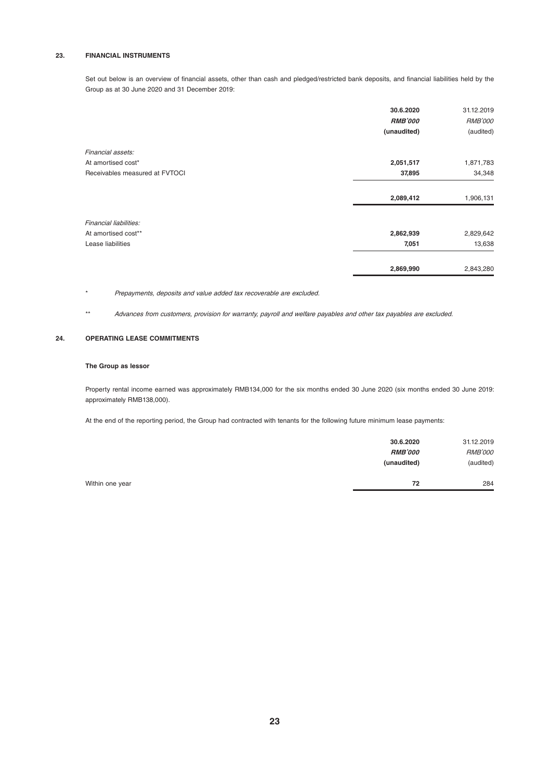#### **23. FINANCIAL INSTRUMENTS**

Set out below is an overview of financial assets, other than cash and pledged/restricted bank deposits, and financial liabilities held by the Group as at 30 June 2020 and 31 December 2019:

|                                | 30.6.2020<br><b>RMB'000</b><br>(unaudited) | 31.12.2019<br><b>RMB'000</b><br>(audited) |
|--------------------------------|--------------------------------------------|-------------------------------------------|
| Financial assets:              |                                            |                                           |
| At amortised cost*             | 2,051,517                                  | 1,871,783                                 |
| Receivables measured at FVTOCI | 37,895                                     | 34,348                                    |
|                                | 2,089,412                                  | 1,906,131                                 |
| Financial liabilities:         |                                            |                                           |
| At amortised cost**            | 2,862,939                                  | 2,829,642                                 |
| Lease liabilities              | 7,051                                      | 13,638                                    |
|                                | 2,869,990                                  | 2,843,280                                 |

\* Prepayments, deposits and value added tax recoverable are excluded.

\*\* Advances from customers, provision for warranty, payroll and welfare payables and other tax payables are excluded.

#### **24. OPERATING LEASE COMMITMENTS**

#### **The Group as lessor**

Property rental income earned was approximately RMB134,000 for the six months ended 30 June 2020 (six months ended 30 June 2019: approximately RMB138,000).

At the end of the reporting period, the Group had contracted with tenants for the following future minimum lease payments:

|                 | 30.6.2020<br><b>RMB'000</b><br>(unaudited) | 31.12.2019<br><b>RMB'000</b><br>(audited) |
|-----------------|--------------------------------------------|-------------------------------------------|
| Within one year | 72                                         | 284                                       |

**23**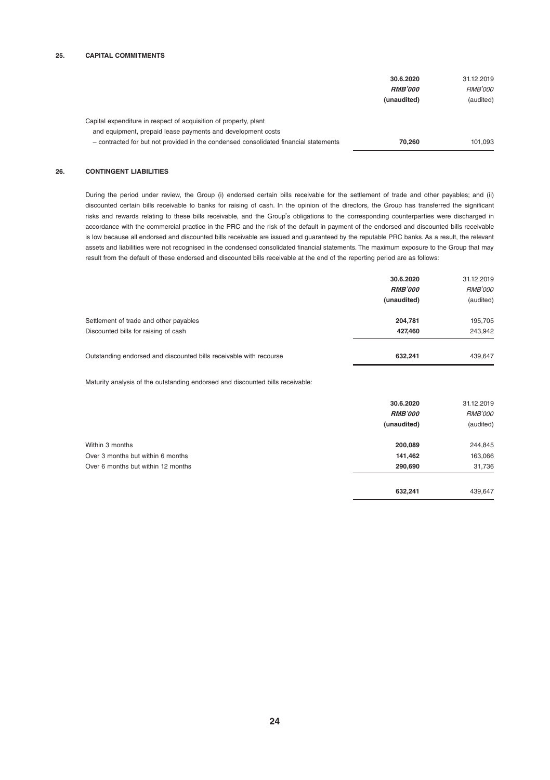#### **25. CAPITAL COMMITMENTS**

|                                                                                                                                 | 30.6.2020<br><b>RMB'000</b><br>(unaudited) | 31.12.2019<br><b>RMB'000</b><br>(audited) |
|---------------------------------------------------------------------------------------------------------------------------------|--------------------------------------------|-------------------------------------------|
| Capital expenditure in respect of acquisition of property, plant<br>and equipment, prepaid lease payments and development costs |                                            |                                           |
| - contracted for but not provided in the condensed consolidated financial statements                                            | 70.260                                     | 101.093                                   |

#### **26. CONTINGENT LIABILITIES**

During the period under review, the Group (i) endorsed certain bills receivable for the settlement of trade and other payables; and (ii) discounted certain bills receivable to banks for raising of cash. In the opinion of the directors, the Group has transferred the significant risks and rewards relating to these bills receivable, and the Group's obligations to the corresponding counterparties were discharged in accordance with the commercial practice in the PRC and the risk of the default in payment of the endorsed and discounted bills receivable is low because all endorsed and discounted bills receivable are issued and guaranteed by the reputable PRC banks. As a result, the relevant assets and liabilities were not recognised in the condensed consolidated financial statements. The maximum exposure to the Group that may result from the default of these endorsed and discounted bills receivable at the end of the reporting period are as follows:

|                                                                    | 30.6.2020      | 31.12.2019     |
|--------------------------------------------------------------------|----------------|----------------|
|                                                                    | <b>RMB'000</b> | <b>RMB'000</b> |
|                                                                    | (unaudited)    | (audited)      |
| Settlement of trade and other payables                             | 204.781        | 195.705        |
| Discounted bills for raising of cash                               | 427.460        | 243.942        |
|                                                                    |                |                |
| Outstanding endorsed and discounted bills receivable with recourse | 632.241        | 439.647        |

Maturity analysis of the outstanding endorsed and discounted bills receivable:

|                                    | 30.6.2020      | 31.12.2019     |
|------------------------------------|----------------|----------------|
|                                    | <b>RMB'000</b> | <b>RMB'000</b> |
|                                    | (unaudited)    | (audited)      |
| Within 3 months                    | 200,089        | 244,845        |
| Over 3 months but within 6 months  | 141.462        | 163,066        |
| Over 6 months but within 12 months | 290.690        | 31,736         |
|                                    | 632.241        | 439.647        |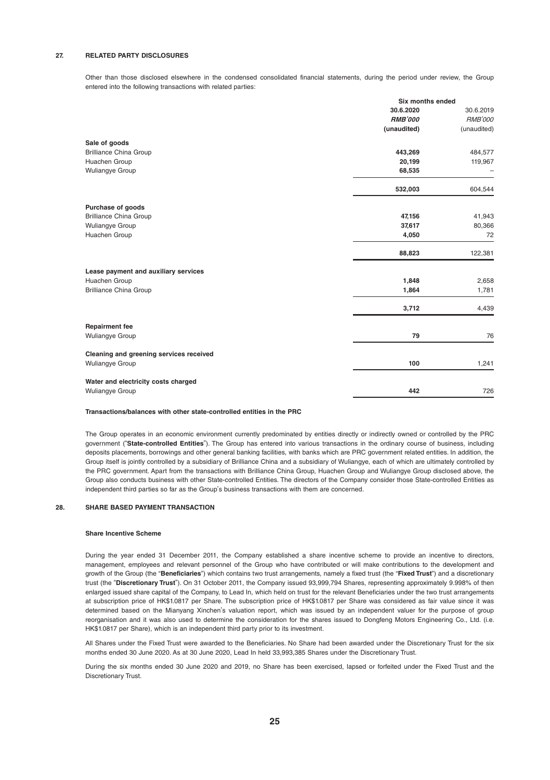#### **27. RELATED PARTY DISCLOSURES**

Other than those disclosed elsewhere in the condensed consolidated financial statements, during the period under review, the Group entered into the following transactions with related parties:

|                                         | Six months ended |                |
|-----------------------------------------|------------------|----------------|
|                                         | 30.6.2020        | 30.6.2019      |
|                                         | <b>RMB'000</b>   | <b>RMB'000</b> |
|                                         | (unaudited)      | (unaudited)    |
| Sale of goods                           |                  |                |
| <b>Brilliance China Group</b>           | 443,269          | 484,577        |
| Huachen Group                           | 20,199           | 119,967        |
| <b>Wuliangye Group</b>                  | 68,535           |                |
|                                         | 532,003          | 604,544        |
| Purchase of goods                       |                  |                |
| <b>Brilliance China Group</b>           | 47,156           | 41,943         |
| Wuliangye Group                         | 37,617           | 80,366         |
| Huachen Group                           | 4,050            | 72             |
|                                         | 88,823           | 122,381        |
| Lease payment and auxiliary services    |                  |                |
| Huachen Group                           | 1,848            | 2,658          |
| <b>Brilliance China Group</b>           | 1,864            | 1,781          |
|                                         | 3,712            | 4,439          |
| <b>Repairment fee</b>                   |                  |                |
| <b>Wuliangye Group</b>                  | 79               | 76             |
| Cleaning and greening services received |                  |                |
| <b>Wuliangye Group</b>                  | 100              | 1,241          |
| Water and electricity costs charged     |                  |                |
| <b>Wuliangye Group</b>                  | 442              | 726            |

#### **Transactions/balances with other state-controlled entities in the PRC**

The Group operates in an economic environment currently predominated by entities directly or indirectly owned or controlled by the PRC government ("**State-controlled Entities**"). The Group has entered into various transactions in the ordinary course of business, including deposits placements, borrowings and other general banking facilities, with banks which are PRC government related entities. In addition, the Group itself is jointly controlled by a subsidiary of Brilliance China and a subsidiary of Wuliangye, each of which are ultimately controlled by the PRC government. Apart from the transactions with Brilliance China Group, Huachen Group and Wuliangye Group disclosed above, the Group also conducts business with other State-controlled Entities. The directors of the Company consider those State-controlled Entities as independent third parties so far as the Group's business transactions with them are concerned.

#### **28. SHARE BASED PAYMENT TRANSACTION**

#### **Share Incentive Scheme**

During the year ended 31 December 2011, the Company established a share incentive scheme to provide an incentive to directors, management, employees and relevant personnel of the Group who have contributed or will make contributions to the development and growth of the Group (the "**Beneficiaries**") which contains two trust arrangements, namely a fixed trust (the "**Fixed Trust**") and a discretionary trust (the "**Discretionary Trust**"). On 31 October 2011, the Company issued 93,999,794 Shares, representing approximately 9.998% of then enlarged issued share capital of the Company, to Lead In, which held on trust for the relevant Beneficiaries under the two trust arrangements at subscription price of HK\$1.0817 per Share. The subscription price of HK\$1.0817 per Share was considered as fair value since it was determined based on the Mianyang Xinchen's valuation report, which was issued by an independent valuer for the purpose of group reorganisation and it was also used to determine the consideration for the shares issued to Dongfeng Motors Engineering Co., Ltd. (i.e. HK\$1.0817 per Share), which is an independent third party prior to its investment.

All Shares under the Fixed Trust were awarded to the Beneficiaries. No Share had been awarded under the Discretionary Trust for the six months ended 30 June 2020. As at 30 June 2020, Lead In held 33,993,385 Shares under the Discretionary Trust.

During the six months ended 30 June 2020 and 2019, no Share has been exercised, lapsed or forfeited under the Fixed Trust and the Discretionary Trust.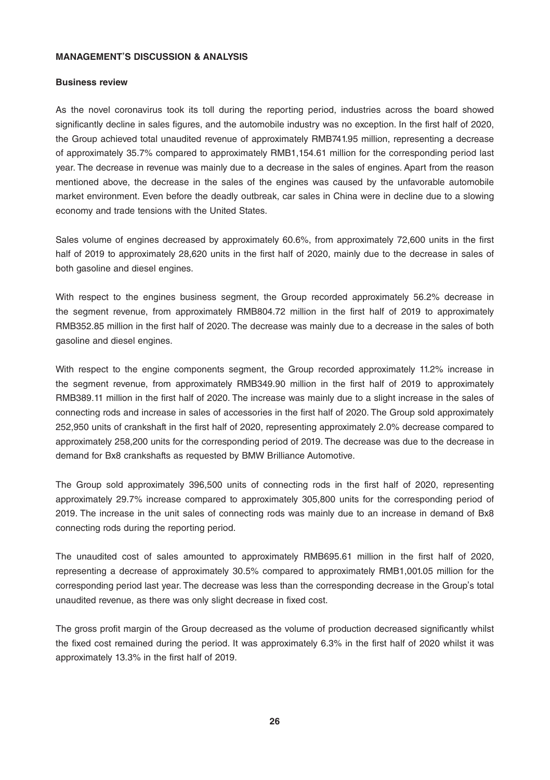### **MANAGEMENT'S DISCUSSION & ANALYSIS**

#### **Business review**

As the novel coronavirus took its toll during the reporting period, industries across the board showed significantly decline in sales figures, and the automobile industry was no exception. In the first half of 2020, the Group achieved total unaudited revenue of approximately RMB741.95 million, representing a decrease of approximately 35.7% compared to approximately RMB1,154.61 million for the corresponding period last year. The decrease in revenue was mainly due to a decrease in the sales of engines. Apart from the reason mentioned above, the decrease in the sales of the engines was caused by the unfavorable automobile market environment. Even before the deadly outbreak, car sales in China were in decline due to a slowing economy and trade tensions with the United States.

Sales volume of engines decreased by approximately 60.6%, from approximately 72,600 units in the first half of 2019 to approximately 28,620 units in the first half of 2020, mainly due to the decrease in sales of both gasoline and diesel engines.

With respect to the engines business segment, the Group recorded approximately 56.2% decrease in the segment revenue, from approximately RMB804.72 million in the first half of 2019 to approximately RMB352.85 million in the first half of 2020. The decrease was mainly due to a decrease in the sales of both gasoline and diesel engines.

With respect to the engine components segment, the Group recorded approximately 11.2% increase in the segment revenue, from approximately RMB349.90 million in the first half of 2019 to approximately RMB389.11 million in the first half of 2020. The increase was mainly due to a slight increase in the sales of connecting rods and increase in sales of accessories in the first half of 2020. The Group sold approximately 252,950 units of crankshaft in the first half of 2020, representing approximately 2.0% decrease compared to approximately 258,200 units for the corresponding period of 2019. The decrease was due to the decrease in demand for Bx8 crankshafts as requested by BMW Brilliance Automotive.

The Group sold approximately 396,500 units of connecting rods in the first half of 2020, representing approximately 29.7% increase compared to approximately 305,800 units for the corresponding period of 2019. The increase in the unit sales of connecting rods was mainly due to an increase in demand of Bx8 connecting rods during the reporting period.

The unaudited cost of sales amounted to approximately RMB695.61 million in the first half of 2020, representing a decrease of approximately 30.5% compared to approximately RMB1,001.05 million for the corresponding period last year. The decrease was less than the corresponding decrease in the Group's total unaudited revenue, as there was only slight decrease in fixed cost.

The gross profit margin of the Group decreased as the volume of production decreased significantly whilst the fixed cost remained during the period. It was approximately 6.3% in the first half of 2020 whilst it was approximately 13.3% in the first half of 2019.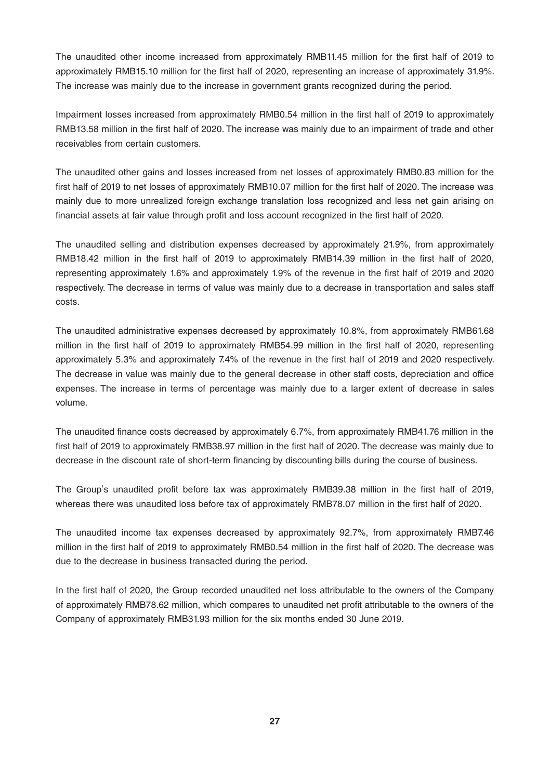The unaudited other income increased from approximately RMB11.45 million for the first half of 2019 to approximately RMB15.10 million for the first half of 2020, representing an increase of approximately 31.9%. The increase was mainly due to the increase in government grants recognized during the period.

Impairment losses increased from approximately RMB0.54 million in the first half of 2019 to approximately RMB13.58 million in the first half of 2020. The increase was mainly due to an impairment of trade and other receivables from certain customers.

The unaudited other gains and losses increased from net losses of approximately RMB0.83 million for the first half of 2019 to net losses of approximately RMB10.07 million for the first half of 2020. The increase was mainly due to more unrealized foreign exchange translation loss recognized and less net gain arising on financial assets at fair value through profit and loss account recognized in the first half of 2020.

The unaudited selling and distribution expenses decreased by approximately 21.9%, from approximately RMB18.42 million in the first half of 2019 to approximately RMB14.39 million in the first half of 2020, representing approximately 1.6% and approximately 1.9% of the revenue in the first half of 2019 and 2020 respectively. The decrease in terms of value was mainly due to a decrease in transportation and sales staff costs.

The unaudited administrative expenses decreased by approximately 10.8%, from approximately RMB61.68 million in the first half of 2019 to approximately RMB54.99 million in the first half of 2020, representing approximately 5.3% and approximately 7.4% of the revenue in the first half of 2019 and 2020 respectively. The decrease in value was mainly due to the general decrease in other staff costs, depreciation and office expenses. The increase in terms of percentage was mainly due to a larger extent of decrease in sales volume.

The unaudited finance costs decreased by approximately 6.7%, from approximately RMB41.76 million in the first half of 2019 to approximately RMB38.97 million in the first half of 2020. The decrease was mainly due to decrease in the discount rate of short-term financing by discounting bills during the course of business.

The Group's unaudited profit before tax was approximately RMB39.38 million in the first half of 2019, whereas there was unaudited loss before tax of approximately RMB78.07 million in the first half of 2020.

The unaudited income tax expenses decreased by approximately 92.7%, from approximately RMB7.46 million in the first half of 2019 to approximately RMB0.54 million in the first half of 2020. The decrease was due to the decrease in business transacted during the period.

In the first half of 2020, the Group recorded unaudited net loss attributable to the owners of the Company of approximately RMB78.62 million, which compares to unaudited net profit attributable to the owners of the Company of approximately RMB31.93 million for the six months ended 30 June 2019.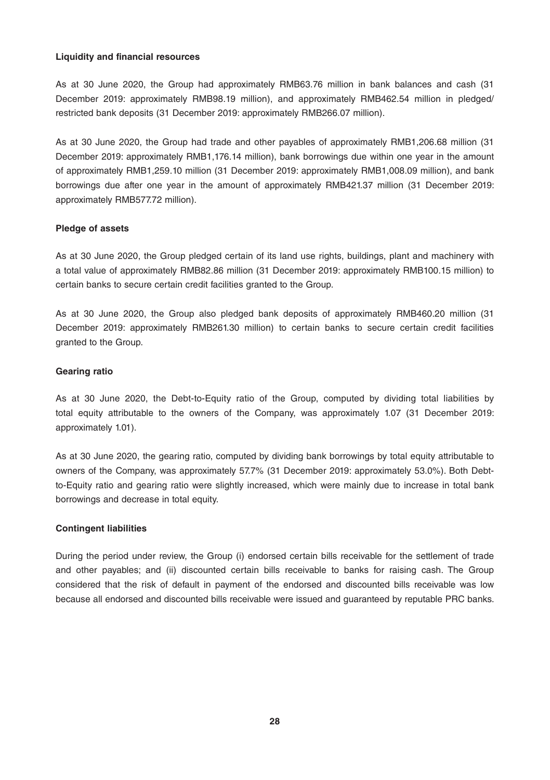#### **Liquidity and financial resources**

As at 30 June 2020, the Group had approximately RMB63.76 million in bank balances and cash (31 December 2019: approximately RMB98.19 million), and approximately RMB462.54 million in pledged/ restricted bank deposits (31 December 2019: approximately RMB266.07 million).

As at 30 June 2020, the Group had trade and other payables of approximately RMB1,206.68 million (31 December 2019: approximately RMB1,176.14 million), bank borrowings due within one year in the amount of approximately RMB1,259.10 million (31 December 2019: approximately RMB1,008.09 million), and bank borrowings due after one year in the amount of approximately RMB421.37 million (31 December 2019: approximately RMB577.72 million).

#### **Pledge of assets**

As at 30 June 2020, the Group pledged certain of its land use rights, buildings, plant and machinery with a total value of approximately RMB82.86 million (31 December 2019: approximately RMB100.15 million) to certain banks to secure certain credit facilities granted to the Group.

As at 30 June 2020, the Group also pledged bank deposits of approximately RMB460.20 million (31 December 2019: approximately RMB261.30 million) to certain banks to secure certain credit facilities granted to the Group.

#### **Gearing ratio**

As at 30 June 2020, the Debt-to-Equity ratio of the Group, computed by dividing total liabilities by total equity attributable to the owners of the Company, was approximately 1.07 (31 December 2019: approximately 1.01).

As at 30 June 2020, the gearing ratio, computed by dividing bank borrowings by total equity attributable to owners of the Company, was approximately 57.7% (31 December 2019: approximately 53.0%). Both Debtto-Equity ratio and gearing ratio were slightly increased, which were mainly due to increase in total bank borrowings and decrease in total equity.

#### **Contingent liabilities**

During the period under review, the Group (i) endorsed certain bills receivable for the settlement of trade and other payables; and (ii) discounted certain bills receivable to banks for raising cash. The Group considered that the risk of default in payment of the endorsed and discounted bills receivable was low because all endorsed and discounted bills receivable were issued and guaranteed by reputable PRC banks.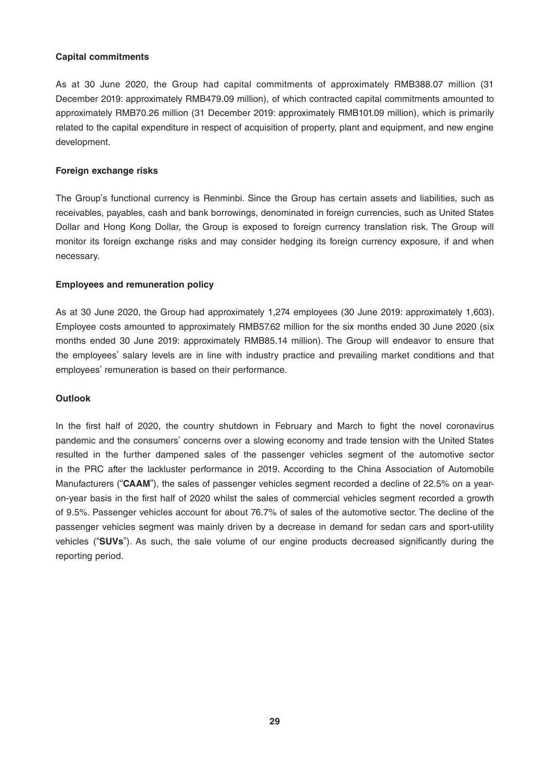#### **Capital commitments**

As at 30 June 2020, the Group had capital commitments of approximately RMB388.07 million (31 December 2019: approximately RMB479.09 million), of which contracted capital commitments amounted to approximately RMB70.26 million (31 December 2019: approximately RMB101.09 million), which is primarily related to the capital expenditure in respect of acquisition of property, plant and equipment, and new engine development.

#### **Foreign exchange risks**

The Group's functional currency is Renminbi. Since the Group has certain assets and liabilities, such as receivables, payables, cash and bank borrowings, denominated in foreign currencies, such as United States Dollar and Hong Kong Dollar, the Group is exposed to foreign currency translation risk. The Group will monitor its foreign exchange risks and may consider hedging its foreign currency exposure, if and when necessary.

#### **Employees and remuneration policy**

As at 30 June 2020, the Group had approximately 1,274 employees (30 June 2019: approximately 1,603). Employee costs amounted to approximately RMB57.62 million for the six months ended 30 June 2020 (six months ended 30 June 2019: approximately RMB85.14 million). The Group will endeavor to ensure that the employees' salary levels are in line with industry practice and prevailing market conditions and that employees' remuneration is based on their performance.

## **Outlook**

In the first half of 2020, the country shutdown in February and March to fight the novel coronavirus pandemic and the consumers' concerns over a slowing economy and trade tension with the United States resulted in the further dampened sales of the passenger vehicles segment of the automotive sector in the PRC after the lackluster performance in 2019. According to the China Association of Automobile Manufacturers ("**CAAM**"), the sales of passenger vehicles segment recorded a decline of 22.5% on a yearon-year basis in the first half of 2020 whilst the sales of commercial vehicles segment recorded a growth of 9.5%. Passenger vehicles account for about 76.7% of sales of the automotive sector. The decline of the passenger vehicles segment was mainly driven by a decrease in demand for sedan cars and sport-utility vehicles ("**SUVs**"). As such, the sale volume of our engine products decreased significantly during the reporting period.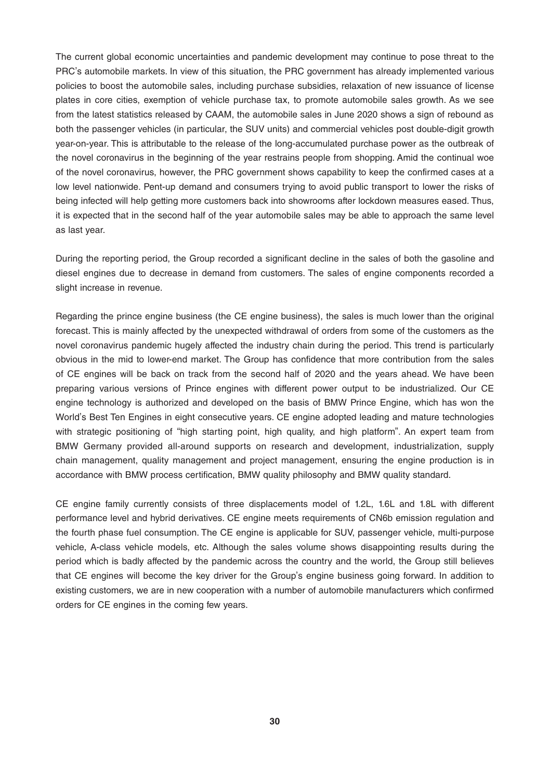The current global economic uncertainties and pandemic development may continue to pose threat to the PRC's automobile markets. In view of this situation, the PRC government has already implemented various policies to boost the automobile sales, including purchase subsidies, relaxation of new issuance of license plates in core cities, exemption of vehicle purchase tax, to promote automobile sales growth. As we see from the latest statistics released by CAAM, the automobile sales in June 2020 shows a sign of rebound as both the passenger vehicles (in particular, the SUV units) and commercial vehicles post double-digit growth year-on-year. This is attributable to the release of the long-accumulated purchase power as the outbreak of the novel coronavirus in the beginning of the year restrains people from shopping. Amid the continual woe of the novel coronavirus, however, the PRC government shows capability to keep the confirmed cases at a low level nationwide. Pent-up demand and consumers trying to avoid public transport to lower the risks of being infected will help getting more customers back into showrooms after lockdown measures eased. Thus, it is expected that in the second half of the year automobile sales may be able to approach the same level as last year.

During the reporting period, the Group recorded a significant decline in the sales of both the gasoline and diesel engines due to decrease in demand from customers. The sales of engine components recorded a slight increase in revenue.

Regarding the prince engine business (the CE engine business), the sales is much lower than the original forecast. This is mainly affected by the unexpected withdrawal of orders from some of the customers as the novel coronavirus pandemic hugely affected the industry chain during the period. This trend is particularly obvious in the mid to lower-end market. The Group has confidence that more contribution from the sales of CE engines will be back on track from the second half of 2020 and the years ahead. We have been preparing various versions of Prince engines with different power output to be industrialized. Our CE engine technology is authorized and developed on the basis of BMW Prince Engine, which has won the World's Best Ten Engines in eight consecutive years. CE engine adopted leading and mature technologies with strategic positioning of "high starting point, high quality, and high platform". An expert team from BMW Germany provided all-around supports on research and development, industrialization, supply chain management, quality management and project management, ensuring the engine production is in accordance with BMW process certification, BMW quality philosophy and BMW quality standard.

CE engine family currently consists of three displacements model of 1.2L, 1.6L and 1.8L with different performance level and hybrid derivatives. CE engine meets requirements of CN6b emission regulation and the fourth phase fuel consumption. The CE engine is applicable for SUV, passenger vehicle, multi-purpose vehicle, A-class vehicle models, etc. Although the sales volume shows disappointing results during the period which is badly affected by the pandemic across the country and the world, the Group still believes that CE engines will become the key driver for the Group's engine business going forward. In addition to existing customers, we are in new cooperation with a number of automobile manufacturers which confirmed orders for CE engines in the coming few years.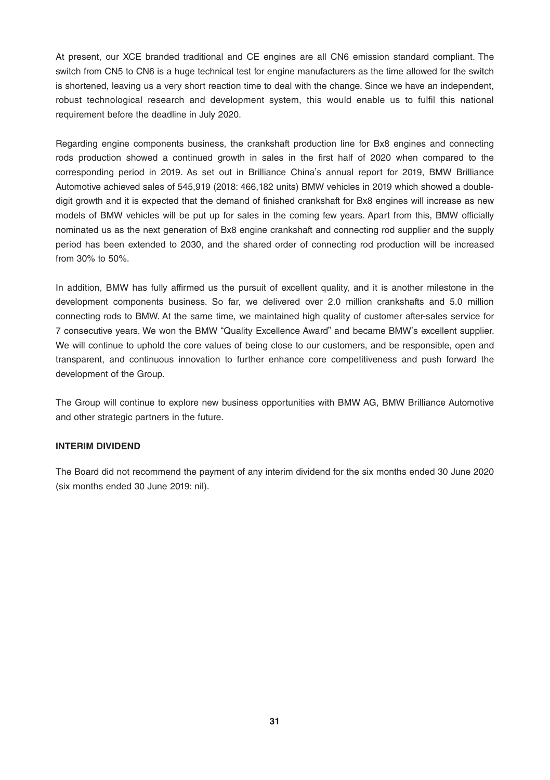At present, our XCE branded traditional and CE engines are all CN6 emission standard compliant. The switch from CN5 to CN6 is a huge technical test for engine manufacturers as the time allowed for the switch is shortened, leaving us a very short reaction time to deal with the change. Since we have an independent, robust technological research and development system, this would enable us to fulfil this national requirement before the deadline in July 2020.

Regarding engine components business, the crankshaft production line for Bx8 engines and connecting rods production showed a continued growth in sales in the first half of 2020 when compared to the corresponding period in 2019. As set out in Brilliance China's annual report for 2019, BMW Brilliance Automotive achieved sales of 545,919 (2018: 466,182 units) BMW vehicles in 2019 which showed a doubledigit growth and it is expected that the demand of finished crankshaft for Bx8 engines will increase as new models of BMW vehicles will be put up for sales in the coming few years. Apart from this, BMW officially nominated us as the next generation of Bx8 engine crankshaft and connecting rod supplier and the supply period has been extended to 2030, and the shared order of connecting rod production will be increased from 30% to 50%.

In addition, BMW has fully affirmed us the pursuit of excellent quality, and it is another milestone in the development components business. So far, we delivered over 2.0 million crankshafts and 5.0 million connecting rods to BMW. At the same time, we maintained high quality of customer after-sales service for 7 consecutive years. We won the BMW "Quality Excellence Award" and became BMW's excellent supplier. We will continue to uphold the core values of being close to our customers, and be responsible, open and transparent, and continuous innovation to further enhance core competitiveness and push forward the development of the Group.

The Group will continue to explore new business opportunities with BMW AG, BMW Brilliance Automotive and other strategic partners in the future.

#### **INTERIM DIVIDEND**

The Board did not recommend the payment of any interim dividend for the six months ended 30 June 2020 (six months ended 30 June 2019: nil).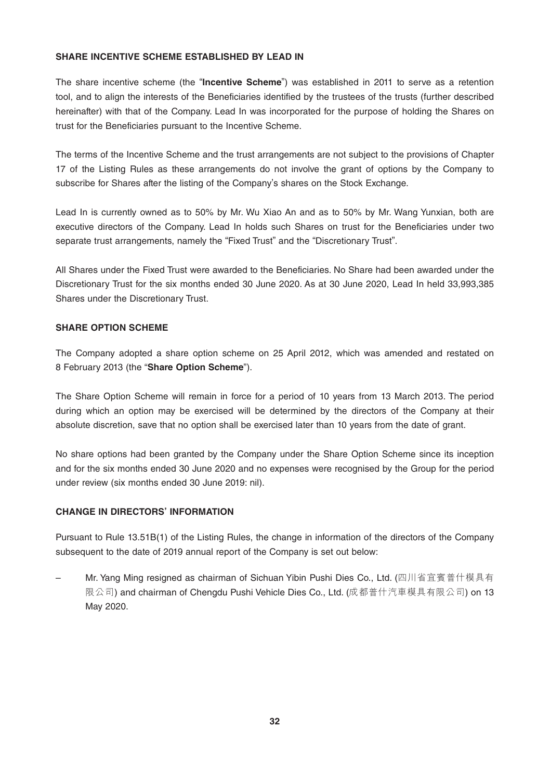## **SHARE INCENTIVE SCHEME ESTABLISHED BY LEAD IN**

The share incentive scheme (the "**Incentive Scheme**") was established in 2011 to serve as a retention tool, and to align the interests of the Beneficiaries identified by the trustees of the trusts (further described hereinafter) with that of the Company. Lead In was incorporated for the purpose of holding the Shares on trust for the Beneficiaries pursuant to the Incentive Scheme.

The terms of the Incentive Scheme and the trust arrangements are not subject to the provisions of Chapter 17 of the Listing Rules as these arrangements do not involve the grant of options by the Company to subscribe for Shares after the listing of the Company's shares on the Stock Exchange.

Lead In is currently owned as to 50% by Mr. Wu Xiao An and as to 50% by Mr. Wang Yunxian, both are executive directors of the Company. Lead In holds such Shares on trust for the Beneficiaries under two separate trust arrangements, namely the "Fixed Trust" and the "Discretionary Trust".

All Shares under the Fixed Trust were awarded to the Beneficiaries. No Share had been awarded under the Discretionary Trust for the six months ended 30 June 2020. As at 30 June 2020, Lead In held 33,993,385 Shares under the Discretionary Trust.

#### **SHARE OPTION SCHEME**

The Company adopted a share option scheme on 25 April 2012, which was amended and restated on 8 February 2013 (the "**Share Option Scheme**").

The Share Option Scheme will remain in force for a period of 10 years from 13 March 2013. The period during which an option may be exercised will be determined by the directors of the Company at their absolute discretion, save that no option shall be exercised later than 10 years from the date of grant.

No share options had been granted by the Company under the Share Option Scheme since its inception and for the six months ended 30 June 2020 and no expenses were recognised by the Group for the period under review (six months ended 30 June 2019: nil).

## **CHANGE IN DIRECTORS' INFORMATION**

Pursuant to Rule 13.51B(1) of the Listing Rules, the change in information of the directors of the Company subsequent to the date of 2019 annual report of the Company is set out below:

– Mr. Yang Ming resigned as chairman of Sichuan Yibin Pushi Dies Co., Ltd. (四川省宜賓普什模具有 限公司) and chairman of Chengdu Pushi Vehicle Dies Co., Ltd. (成都普什汽車模具有限公司) on 13 May 2020.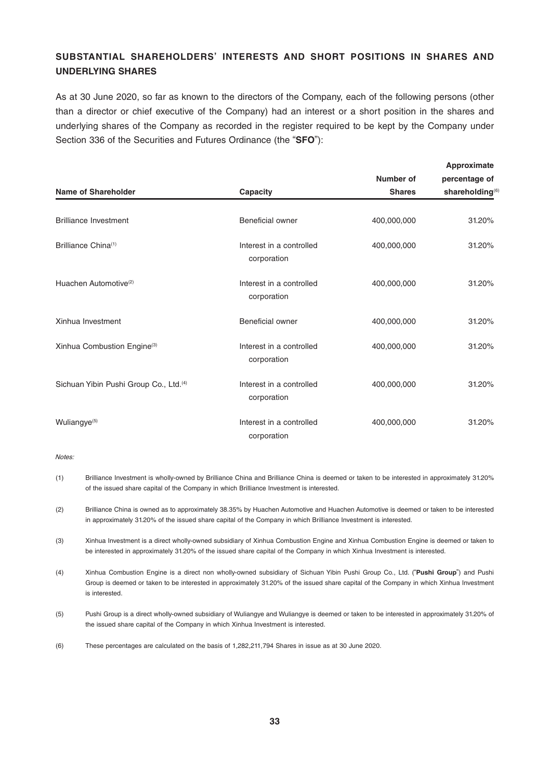## **SUBSTANTIAL SHAREHOLDERS' INTERESTS AND SHORT POSITIONS IN SHARES AND UNDERLYING SHARES**

As at 30 June 2020, so far as known to the directors of the Company, each of the following persons (other than a director or chief executive of the Company) had an interest or a short position in the shares and underlying shares of the Company as recorded in the register required to be kept by the Company under Section 336 of the Securities and Futures Ordinance (the "**SFO**"):

|                                                    |                                         | Number of     | Approximate<br>percentage of |
|----------------------------------------------------|-----------------------------------------|---------------|------------------------------|
| Name of Shareholder                                | Capacity                                | <b>Shares</b> | shareholding <sup>(6)</sup>  |
| <b>Brilliance Investment</b>                       | Beneficial owner                        | 400,000,000   | 31.20%                       |
| Brilliance China <sup>(1)</sup>                    | Interest in a controlled<br>corporation | 400,000,000   | 31.20%                       |
| Huachen Automotive <sup>(2)</sup>                  | Interest in a controlled<br>corporation | 400.000.000   | 31.20%                       |
| Xinhua Investment                                  | Beneficial owner                        | 400,000,000   | 31.20%                       |
| Xinhua Combustion Engine(3)                        | Interest in a controlled<br>corporation | 400,000,000   | 31.20%                       |
| Sichuan Yibin Pushi Group Co., Ltd. <sup>(4)</sup> | Interest in a controlled<br>corporation | 400,000,000   | 31.20%                       |
| Wuliangye <sup>(5)</sup>                           | Interest in a controlled<br>corporation | 400,000,000   | 31.20%                       |

Notes:

- (1) Brilliance Investment is wholly-owned by Brilliance China and Brilliance China is deemed or taken to be interested in approximately 31.20% of the issued share capital of the Company in which Brilliance Investment is interested.
- (2) Brilliance China is owned as to approximately 38.35% by Huachen Automotive and Huachen Automotive is deemed or taken to be interested in approximately 31.20% of the issued share capital of the Company in which Brilliance Investment is interested.
- (3) Xinhua Investment is a direct wholly-owned subsidiary of Xinhua Combustion Engine and Xinhua Combustion Engine is deemed or taken to be interested in approximately 31.20% of the issued share capital of the Company in which Xinhua Investment is interested.
- (4) Xinhua Combustion Engine is a direct non wholly-owned subsidiary of Sichuan Yibin Pushi Group Co., Ltd. ("**Pushi Group**") and Pushi Group is deemed or taken to be interested in approximately 31.20% of the issued share capital of the Company in which Xinhua Investment is interested.
- (5) Pushi Group is a direct wholly-owned subsidiary of Wuliangye and Wuliangye is deemed or taken to be interested in approximately 31.20% of the issued share capital of the Company in which Xinhua Investment is interested.
- (6) These percentages are calculated on the basis of 1,282,211,794 Shares in issue as at 30 June 2020.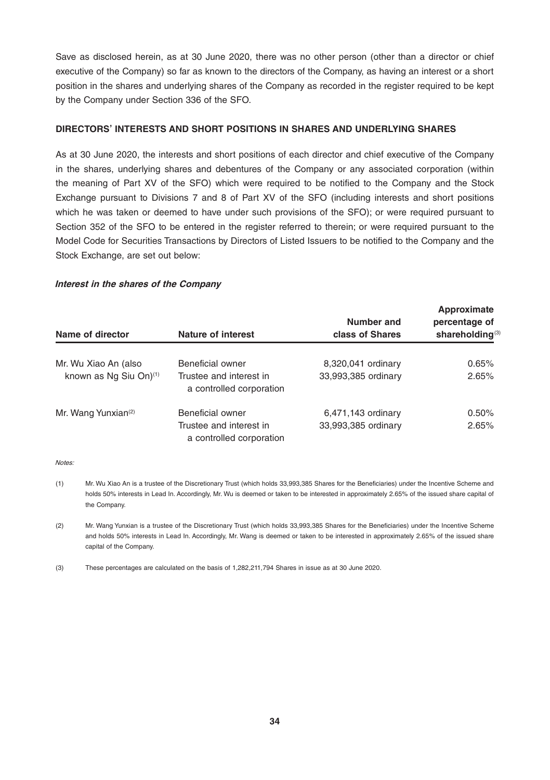Save as disclosed herein, as at 30 June 2020, there was no other person (other than a director or chief executive of the Company) so far as known to the directors of the Company, as having an interest or a short position in the shares and underlying shares of the Company as recorded in the register required to be kept by the Company under Section 336 of the SFO.

#### **DIRECTORS' INTERESTS AND SHORT POSITIONS IN SHARES AND UNDERLYING SHARES**

As at 30 June 2020, the interests and short positions of each director and chief executive of the Company in the shares, underlying shares and debentures of the Company or any associated corporation (within the meaning of Part XV of the SFO) which were required to be notified to the Company and the Stock Exchange pursuant to Divisions 7 and 8 of Part XV of the SFO (including interests and short positions which he was taken or deemed to have under such provisions of the SFO); or were required pursuant to Section 352 of the SFO to be entered in the register referred to therein; or were required pursuant to the Model Code for Securities Transactions by Directors of Listed Issuers to be notified to the Company and the Stock Exchange, are set out below:

#### **Interest in the shares of the Company**

| Name of director                   | Nature of interest                                  | Number and<br>class of Shares | Approximate<br>percentage of<br>shareholding <sup>(3)</sup> |
|------------------------------------|-----------------------------------------------------|-------------------------------|-------------------------------------------------------------|
| Mr. Wu Xiao An (also               | Beneficial owner                                    | 8,320,041 ordinary            | 0.65%                                                       |
| known as Ng Siu On) <sup>(1)</sup> | Trustee and interest in<br>a controlled corporation | 33,993,385 ordinary           | 2.65%                                                       |
| Mr. Wang Yunxian <sup>(2)</sup>    | Beneficial owner                                    | 6,471,143 ordinary            | 0.50%                                                       |
|                                    | Trustee and interest in<br>a controlled corporation | 33,993,385 ordinary           | 2.65%                                                       |

Notes:

- (1) Mr. Wu Xiao An is a trustee of the Discretionary Trust (which holds 33,993,385 Shares for the Beneficiaries) under the Incentive Scheme and holds 50% interests in Lead In. Accordingly, Mr. Wu is deemed or taken to be interested in approximately 2.65% of the issued share capital of the Company.
- (2) Mr. Wang Yunxian is a trustee of the Discretionary Trust (which holds 33,993,385 Shares for the Beneficiaries) under the Incentive Scheme and holds 50% interests in Lead In. Accordingly, Mr. Wang is deemed or taken to be interested in approximately 2.65% of the issued share capital of the Company.

(3) These percentages are calculated on the basis of 1,282,211,794 Shares in issue as at 30 June 2020.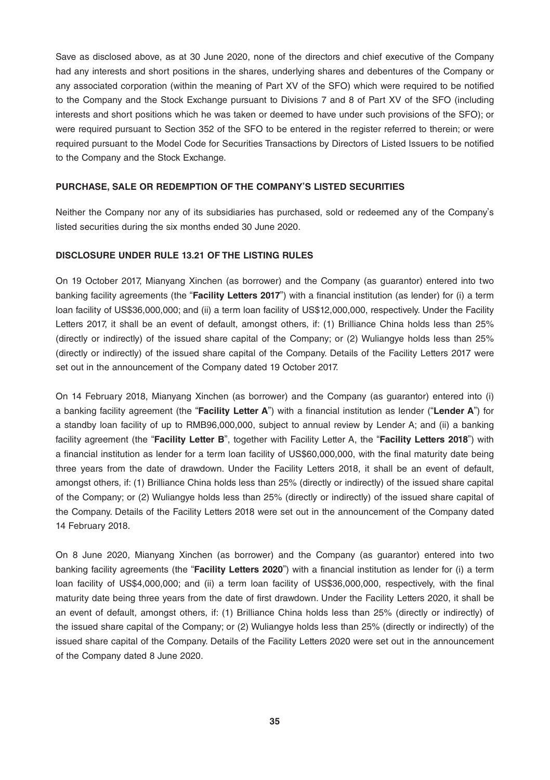Save as disclosed above, as at 30 June 2020, none of the directors and chief executive of the Company had any interests and short positions in the shares, underlying shares and debentures of the Company or any associated corporation (within the meaning of Part XV of the SFO) which were required to be notified to the Company and the Stock Exchange pursuant to Divisions 7 and 8 of Part XV of the SFO (including interests and short positions which he was taken or deemed to have under such provisions of the SFO); or were required pursuant to Section 352 of the SFO to be entered in the register referred to therein; or were required pursuant to the Model Code for Securities Transactions by Directors of Listed Issuers to be notified to the Company and the Stock Exchange.

#### **PURCHASE, SALE OR REDEMPTION OF THE COMPANY'S LISTED SECURITIES**

Neither the Company nor any of its subsidiaries has purchased, sold or redeemed any of the Company's listed securities during the six months ended 30 June 2020.

#### **DISCLOSURE UNDER RULE 13.21 OF THE LISTING RULES**

On 19 October 2017, Mianyang Xinchen (as borrower) and the Company (as guarantor) entered into two banking facility agreements (the "**Facility Letters 2017**") with a financial institution (as lender) for (i) a term loan facility of US\$36,000,000; and (ii) a term loan facility of US\$12,000,000, respectively. Under the Facility Letters 2017, it shall be an event of default, amongst others, if: (1) Brilliance China holds less than 25% (directly or indirectly) of the issued share capital of the Company; or (2) Wuliangye holds less than 25% (directly or indirectly) of the issued share capital of the Company. Details of the Facility Letters 2017 were set out in the announcement of the Company dated 19 October 2017.

On 14 February 2018, Mianyang Xinchen (as borrower) and the Company (as guarantor) entered into (i) a banking facility agreement (the "**Facility Letter A**") with a financial institution as lender ("**Lender A**") for a standby loan facility of up to RMB96,000,000, subject to annual review by Lender A; and (ii) a banking facility agreement (the "**Facility Letter B**", together with Facility Letter A, the "**Facility Letters 2018**") with a financial institution as lender for a term loan facility of US\$60,000,000, with the final maturity date being three years from the date of drawdown. Under the Facility Letters 2018, it shall be an event of default, amongst others, if: (1) Brilliance China holds less than 25% (directly or indirectly) of the issued share capital of the Company; or (2) Wuliangye holds less than 25% (directly or indirectly) of the issued share capital of the Company. Details of the Facility Letters 2018 were set out in the announcement of the Company dated 14 February 2018.

On 8 June 2020, Mianyang Xinchen (as borrower) and the Company (as guarantor) entered into two banking facility agreements (the "**Facility Letters 2020**") with a financial institution as lender for (i) a term loan facility of US\$4,000,000; and (ii) a term loan facility of US\$36,000,000, respectively, with the final maturity date being three years from the date of first drawdown. Under the Facility Letters 2020, it shall be an event of default, amongst others, if: (1) Brilliance China holds less than 25% (directly or indirectly) of the issued share capital of the Company; or (2) Wuliangye holds less than 25% (directly or indirectly) of the issued share capital of the Company. Details of the Facility Letters 2020 were set out in the announcement of the Company dated 8 June 2020.